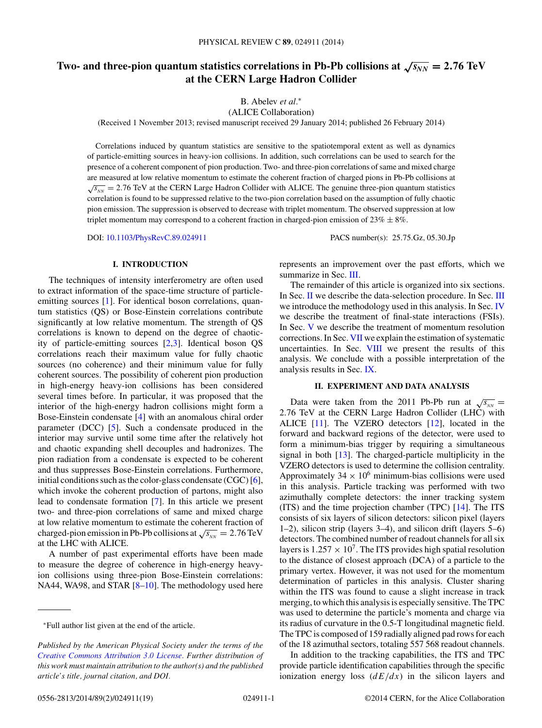# <span id="page-0-0"></span>**Two- and three-pion quantum statistics correlations in Pb-Pb collisions at**  $\sqrt{s_{NN}} = 2.76 \text{ TeV}$ **at the CERN Large Hadron Collider**

B. Abelev *et al.*<sup>∗</sup>

(ALICE Collaboration)

(Received 1 November 2013; revised manuscript received 29 January 2014; published 26 February 2014)

Correlations induced by quantum statistics are sensitive to the spatiotemporal extent as well as dynamics of particle-emitting sources in heavy-ion collisions. In addition, such correlations can be used to search for the presence of a coherent component of pion production. Two- and three-pion correlations of same and mixed charge are measured at low relative momentum to estimate the coherent fraction of charged pions in Pb-Pb collisions at  $\sqrt{s_{NN}}$  = 2.76 TeV at the CERN Large Hadron Collider with ALICE. The genuine three-pion quantum statistics correlation is found to be suppressed relative to the two-pion correlation based on the assumption of fully chaotic pion emission. The suppression is observed to decrease with triplet momentum. The observed suppression at low triplet momentum may correspond to a coherent fraction in charged-pion emission of  $23\% \pm 8\%$ .

DOI: [10.1103/PhysRevC.89.024911](http://dx.doi.org/10.1103/PhysRevC.89.024911) PACS number(s): 25.75.Gz, 05.30.Jp

## **I. INTRODUCTION**

The techniques of intensity interferometry are often used to extract information of the space-time structure of particle-emitting sources [\[1\]](#page-13-0). For identical boson correlations, quantum statistics (QS) or Bose-Einstein correlations contribute significantly at low relative momentum. The strength of QS correlations is known to depend on the degree of chaoticity of particle-emitting sources [\[2,3\]](#page-13-0). Identical boson QS correlations reach their maximum value for fully chaotic sources (no coherence) and their minimum value for fully coherent sources. The possibility of coherent pion production in high-energy heavy-ion collisions has been considered several times before. In particular, it was proposed that the interior of the high-energy hadron collisions might form a Bose-Einstein condensate [\[4\]](#page-13-0) with an anomalous chiral order parameter (DCC) [\[5\]](#page-13-0). Such a condensate produced in the interior may survive until some time after the relatively hot and chaotic expanding shell decouples and hadronizes. The pion radiation from a condensate is expected to be coherent and thus suppresses Bose-Einstein correlations. Furthermore, initial conditions such as the color-glass condensate (CGC) [\[6\]](#page-13-0), which invoke the coherent production of partons, might also lead to condensate formation [\[7\]](#page-13-0). In this article we present two- and three-pion correlations of same and mixed charge at low relative momentum to estimate the coherent fraction of charged-pion emission in Pb-Pb collisions at  $\sqrt{s_{NN}} = 2.76$  TeV at the LHC with ALICE.

A number of past experimental efforts have been made to measure the degree of coherence in high-energy heavyion collisions using three-pion Bose-Einstein correlations: NA44, WA98, and STAR [8-10]. The methodology used here represents an improvement over the past efforts, which we summarize in Sec. [III.](#page-1-0)

The remainder of this article is organized into six sections. In Sec. II we describe the data-selection procedure. In Sec. [III](#page-1-0) we introduce the methodology used in this analysis. In Sec. [IV](#page-3-0) we describe the treatment of final-state interactions (FSIs). In Sec. [V](#page-3-0) we describe the treatment of momentum resolution corrections. In Sec. [VII](#page-4-0) we explain the estimation of systematic uncertainties. In Sec. [VIII](#page-5-0) we present the results of this analysis. We conclude with a possible interpretation of the analysis results in Sec. [IX.](#page-11-0)

## **II. EXPERIMENT AND DATA ANALYSIS**

Data were taken from the 2011 Pb-Pb run at  $\sqrt{s_{NN}}$  = 2.76 TeV at the CERN Large Hadron Collider (LHC) with ALICE [\[11\]](#page-13-0). The VZERO detectors [\[12\]](#page-13-0), located in the forward and backward regions of the detector, were used to form a minimum-bias trigger by requiring a simultaneous signal in both [\[13\]](#page-13-0). The charged-particle multiplicity in the VZERO detectors is used to determine the collision centrality. Approximately  $34 \times 10^6$  minimum-bias collisions were used in this analysis. Particle tracking was performed with two azimuthally complete detectors: the inner tracking system (ITS) and the time projection chamber (TPC) [\[14\]](#page-13-0). The ITS consists of six layers of silicon detectors: silicon pixel (layers 1–2), silicon strip (layers 3–4), and silicon drift (layers 5–6) detectors. The combined number of readout channels for all six layers is  $1.257 \times 10^7$ . The ITS provides high spatial resolution to the distance of closest approach (DCA) of a particle to the primary vertex. However, it was not used for the momentum determination of particles in this analysis. Cluster sharing within the ITS was found to cause a slight increase in track merging, to which this analysis is especially sensitive. The TPC was used to determine the particle's momenta and charge via its radius of curvature in the 0.5-T longitudinal magnetic field. The TPC is composed of 159 radially aligned pad rows for each of the 18 azimuthal sectors, totaling 557 568 readout channels.

In addition to the tracking capabilities, the ITS and TPC provide particle identification capabilities through the specific ionization energy loss  $(dE/dx)$  in the silicon layers and

<sup>∗</sup>Full author list given at the end of the article.

*Published by the American Physical Society under the terms of the [Creative Commons Attribution 3.0 License.](http://creativecommons.org/licenses/by/3.0/) Further distribution of this work must maintain attribution to the author(s) and the published article's title, journal citation, and DOI.*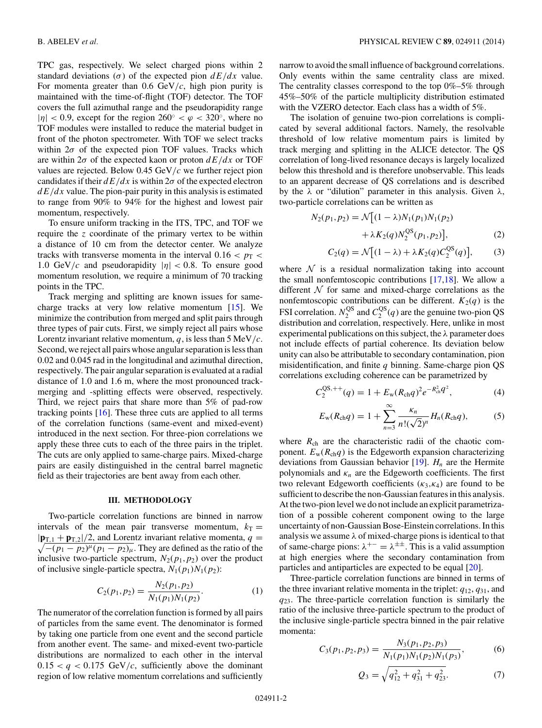<span id="page-1-0"></span>TPC gas, respectively. We select charged pions within 2 standard deviations ( $\sigma$ ) of the expected pion  $dE/dx$  value. For momenta greater than  $0.6 \text{ GeV}/c$ , high pion purity is maintained with the time-of-flight (TOF) detector. The TOF covers the full azimuthal range and the pseudorapidity range  $|\eta|$  < 0.9, except for the region 260° <  $\varphi$  < 320°, where no TOF modules were installed to reduce the material budget in front of the photon spectrometer. With TOF we select tracks within  $2\sigma$  of the expected pion TOF values. Tracks which are within  $2\sigma$  of the expected kaon or proton  $dE/dx$  or TOF values are rejected. Below  $0.45 \text{ GeV}/c$  we further reject pion candidates if their  $dE/dx$  is within  $2\sigma$  of the expected electron  $dE/dx$  value. The pion-pair purity in this analysis is estimated to range from 90% to 94% for the highest and lowest pair momentum, respectively.

To ensure uniform tracking in the ITS, TPC, and TOF we require the z coordinate of the primary vertex to be within a distance of 10 cm from the detector center. We analyze tracks with transverse momenta in the interval  $0.16 < p_T <$ 1.0 GeV/c and pseudorapidity  $|\eta| < 0.8$ . To ensure good momentum resolution, we require a minimum of 70 tracking points in the TPC.

Track merging and splitting are known issues for samecharge tracks at very low relative momentum [\[15\]](#page-13-0). We minimize the contribution from merged and split pairs through three types of pair cuts. First, we simply reject all pairs whose Lorentz invariant relative momentum, q, is less than  $5 \text{ MeV}/c$ . Second, we reject all pairs whose angular separation is less than 0.02 and 0.045 rad in the longitudinal and azimuthal direction, respectively. The pair angular separation is evaluated at a radial distance of 1.0 and 1.6 m, where the most pronounced trackmerging and -splitting effects were observed, respectively. Third, we reject pairs that share more than 5% of pad-row tracking points [\[16\]](#page-13-0). These three cuts are applied to all terms of the correlation functions (same-event and mixed-event) introduced in the next section. For three-pion correlations we apply these three cuts to each of the three pairs in the triplet. The cuts are only applied to same-charge pairs. Mixed-charge pairs are easily distinguished in the central barrel magnetic field as their trajectories are bent away from each other.

## **III. METHODOLOGY**

Two-particle correlation functions are binned in narrow intervals of the mean pair transverse momentum,  $k_T =$  $|\mathbf{p}_{T,1} + \mathbf{p}_{T,2}|/2$ , and Lorentz invariant relative momenta,  $q =$  $\sqrt{-(p_1-p_2)^{\mu}(p_1-p_2)^{\mu}}$ . They are defined as the ratio of the inclusive two-particle spectrum,  $N_2(p_1, p_2)$  over the product of inclusive single-particle spectra,  $N_1(p_1)N_1(p_2)$ :

$$
C_2(p_1, p_2) = \frac{N_2(p_1, p_2)}{N_1(p_1)N_1(p_2)}.
$$
 (1)

The numerator of the correlation function is formed by all pairs of particles from the same event. The denominator is formed by taking one particle from one event and the second particle from another event. The same- and mixed-event two-particle distributions are normalized to each other in the interval  $0.15 < q < 0.175$  GeV/c, sufficiently above the dominant region of low relative momentum correlations and sufficiently

narrow to avoid the small influence of background correlations. Only events within the same centrality class are mixed. The centrality classes correspond to the top 0%–5% through 45%–50% of the particle multiplicity distribution estimated with the VZERO detector. Each class has a width of 5%.

The isolation of genuine two-pion correlations is complicated by several additional factors. Namely, the resolvable threshold of low relative momentum pairs is limited by track merging and splitting in the ALICE detector. The QS correlation of long-lived resonance decays is largely localized below this threshold and is therefore unobservable. This leads to an apparent decrease of QS correlations and is described by the  $\lambda$  or "dilution" parameter in this analysis. Given  $\lambda$ , two-particle correlations can be written as

$$
N_2(p_1, p_2) = \mathcal{N}[(1 - \lambda)N_1(p_1)N_1(p_2) + \lambda K_2(q)N_2^{QS}(p_1, p_2)],
$$
\n(2)

$$
C_2(q) = \mathcal{N}[(1 - \lambda) + \lambda K_2(q) C_2^{QS}(q)],
$$
 (3)

where  $\mathcal N$  is a residual normalization taking into account the small nonfemtoscopic contributions [\[17,18\]](#page-13-0). We allow a different  $N$  for same and mixed-charge correlations as the nonfemtoscopic contributions can be different.  $K_2(q)$  is the FSI correlation.  $N_2^{\text{QS}}$  and  $C_2^{\text{QS}}(q)$  are the genuine two-pion QS distribution and correlation, respectively. Here, unlike in most experimental publications on this subject, the  $\lambda$  parameter does not include effects of partial coherence. Its deviation below unity can also be attributable to secondary contamination, pion misidentification, and finite  $q$  binning. Same-charge pion QS correlations excluding coherence can be parametrized by

$$
C_2^{\text{QS},++}(q) = 1 + E_{\text{w}}(R_{\text{ch}}q)^2 e^{-R_{\text{ch}}^2 q^2}, \tag{4}
$$

$$
E_{\rm w}(R_{\rm ch}q) = 1 + \sum_{n=3}^{\infty} \frac{\kappa_n}{n! (\sqrt{2})^n} H_n(R_{\rm ch}q), \tag{5}
$$

where  $R_{ch}$  are the characteristic radii of the chaotic component.  $E_w(R_{chq})$  is the Edgeworth expansion characterizing deviations from Gaussian behavior [\[19\]](#page-13-0).  $H_n$  are the Hermite polynomials and  $\kappa_n$  are the Edgeworth coefficients. The first two relevant Edgeworth coefficients  $(\kappa_3, \kappa_4)$  are found to be sufficient to describe the non-Gaussian features in this analysis. At the two-pion level we do not include an explicit parametrization of a possible coherent component owing to the large uncertainty of non-Gaussian Bose-Einstein correlations. In this analysis we assume  $\lambda$  of mixed-charge pions is identical to that of same-charge pions:  $\lambda^{+-} = \lambda^{\pm \pm}$ . This is a valid assumption at high energies where the secondary contamination from particles and antiparticles are expected to be equal [\[20\]](#page-13-0).

Three-particle correlation functions are binned in terms of the three invariant relative momenta in the triplet:  $q_{12}$ ,  $q_{31}$ , and  $q_{23}$ . The three-particle correlation function is similarly the ratio of the inclusive three-particle spectrum to the product of the inclusive single-particle spectra binned in the pair relative momenta:

$$
C_3(p_1, p_2, p_3) = \frac{N_3(p_1, p_2, p_3)}{N_1(p_1)N_1(p_2)N_1(p_3)},
$$
 (6)

$$
Q_3 = \sqrt{q_{12}^2 + q_{31}^2 + q_{23}^2}.
$$
 (7)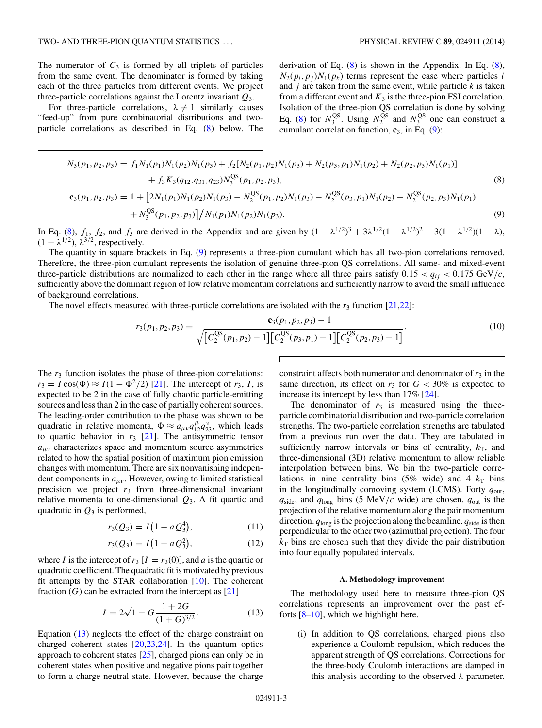<span id="page-2-0"></span>The numerator of  $C_3$  is formed by all triplets of particles from the same event. The denominator is formed by taking each of the three particles from different events. We project three-particle correlations against the Lorentz invariant  $Q_3$ .

For three-particle correlations,  $\lambda \neq 1$  similarly causes "feed-up" from pure combinatorial distributions and twoparticle correlations as described in Eq. (8) below. The derivation of Eq. (8) is shown in the Appendix. In Eq. (8),  $N_2(p_i, p_j)N_1(p_k)$  terms represent the case where particles i and  $j$  are taken from the same event, while particle  $k$  is taken from a different event and  $K_3$  is the three-pion FSI correlation. Isolation of the three-pion QS correlation is done by solving Eq. (8) for  $N_3^{\text{QS}}$ . Using  $N_2^{\text{QS}}$  and  $N_3^{\text{QS}}$  one can construct a cumulant correlation function, **c**3, in Eq. (9):

$$
N_3(p_1, p_2, p_3) = f_1 N_1(p_1) N_1(p_2) N_1(p_3) + f_2 [N_2(p_1, p_2) N_1(p_3) + N_2(p_3, p_1) N_1(p_2) + N_2(p_2, p_3) N_1(p_1)]
$$
  
+ 
$$
f_3 K_3(q_{12}, q_{31}, q_{23}) N_3^{QS}(p_1, p_2, p_3),
$$
  

$$
\mathbf{c}_3(p_1, p_2, p_3) = 1 + [2N_1(p_1) N_1(p_2) N_1(p_3) - N_2^{OS}(p_1, p_2) N_1(p_3) - N_2^{OS}(p_3, p_1) N_1(p_2) - N_2^{OS}(p_2, p_3) N_1(p_1)
$$
  
+ 
$$
N_3^{OS}(p_1, p_2, p_3) / N_1(p_1) N_1(p_2) N_1(p_3).
$$
 (9)

In Eq. (8),  $f_1$ ,  $f_2$ , and  $f_3$  are derived in the Appendix and are given by  $(1 - \lambda^{1/2})^3 + 3\lambda^{1/2}(1 - \lambda^{1/2})^2 - 3(1 - \lambda^{1/2})(1 - \lambda)$ ,  $(1 - \lambda^{1/2})$ ,  $\lambda^{3/2}$ , respectively.

The quantity in square brackets in Eq. (9) represents a three-pion cumulant which has all two-pion correlations removed. Therefore, the three-pion cumulant represents the isolation of genuine three-pion QS correlations. All same- and mixed-event three-particle distributions are normalized to each other in the range where all three pairs satisfy  $0.15 < q_{ij} < 0.175 \text{ GeV}/c$ , sufficiently above the dominant region of low relative momentum correlations and sufficiently narrow to avoid the small influence of background correlations.

The novel effects measured with three-particle correlations are isolated with the  $r_3$  function [\[21,22\]](#page-13-0):

$$
r_3(p_1, p_2, p_3) = \frac{\mathbf{c}_3(p_1, p_2, p_3) - 1}{\sqrt{[C_2^{\text{QS}}(p_1, p_2) - 1][C_2^{\text{QS}}(p_3, p_1) - 1][C_2^{\text{QS}}(p_2, p_3) - 1]}}.
$$
(10)

The  $r_3$  function isolates the phase of three-pion correlations:  $r_3 = I \cos(\Phi) \approx I(1 - \Phi^2/2)$  [\[21\]](#page-13-0). The intercept of  $r_3$ , I, is expected to be 2 in the case of fully chaotic particle-emitting sources and less than 2 in the case of partially coherent sources. The leading-order contribution to the phase was shown to be quadratic in relative momenta,  $\Phi \approx a_{\mu\nu} q_{12}^{\mu} q_{23}^{\nu}$ , which leads to quartic behavior in  $r_3$  [\[21\]](#page-13-0). The antisymmetric tensor  $a_{\mu\nu}$  characterizes space and momentum source asymmetries related to how the spatial position of maximum pion emission changes with momentum. There are six nonvanishing independent components in  $a_{\mu\nu}$ . However, owing to limited statistical precision we project  $r_3$  from three-dimensional invariant relative momenta to one-dimensional  $Q_3$ . A fit quartic and quadratic in  $Q_3$  is performed,

$$
r_3(Q_3) = I(1 - aQ_3^4), \tag{11}
$$

$$
r_3(Q_3) = I(1 - aQ_3^2), \tag{12}
$$

where I is the intercept of  $r_3$  [I =  $r_3(0)$ ], and a is the quartic or quadratic coefficient. The quadratic fit is motivated by previous fit attempts by the STAR collaboration [\[10\]](#page-13-0). The coherent fraction  $(G)$  can be extracted from the intercept as [\[21\]](#page-13-0)

$$
I = 2\sqrt{1 - G} \frac{1 + 2G}{(1 + G)^{3/2}}.
$$
 (13)

Equation (13) neglects the effect of the charge constraint on charged coherent states  $[20,23,24]$ . In the quantum optics approach to coherent states  $[25]$ , charged pions can only be in coherent states when positive and negative pions pair together to form a charge neutral state. However, because the charge constraint affects both numerator and denominator of  $r_3$  in the same direction, its effect on  $r_3$  for  $G < 30\%$  is expected to increase its intercept by less than 17% [\[24\]](#page-13-0).

The denominator of  $r_3$  is measured using the threeparticle combinatorial distribution and two-particle correlation strengths. The two-particle correlation strengths are tabulated from a previous run over the data. They are tabulated in sufficiently narrow intervals or bins of centrality,  $k_T$ , and three-dimensional (3D) relative momentum to allow reliable interpolation between bins. We bin the two-particle correlations in nine centrality bins (5% wide) and 4  $k_T$  bins in the longitudinally comoving system (LCMS). Forty  $q_{\text{out}}$ ,  $q_{\text{side}}$ , and  $q_{\text{long}}$  bins (5 MeV/c wide) are chosen.  $q_{\text{out}}$  is the projection of the relative momentum along the pair momentum direction.  $q_{\text{long}}$  is the projection along the beamline.  $q_{\text{side}}$  is then perpendicular to the other two (azimuthal projection). The four  $k<sub>T</sub>$  bins are chosen such that they divide the pair distribution into four equally populated intervals.

#### **A. Methodology improvement**

The methodology used here to measure three-pion QS correlations represents an improvement over the past efforts [\[8–10\]](#page-13-0), which we highlight here.

(i) In addition to QS correlations, charged pions also experience a Coulomb repulsion, which reduces the apparent strength of QS correlations. Corrections for the three-body Coulomb interactions are damped in this analysis according to the observed  $\lambda$  parameter.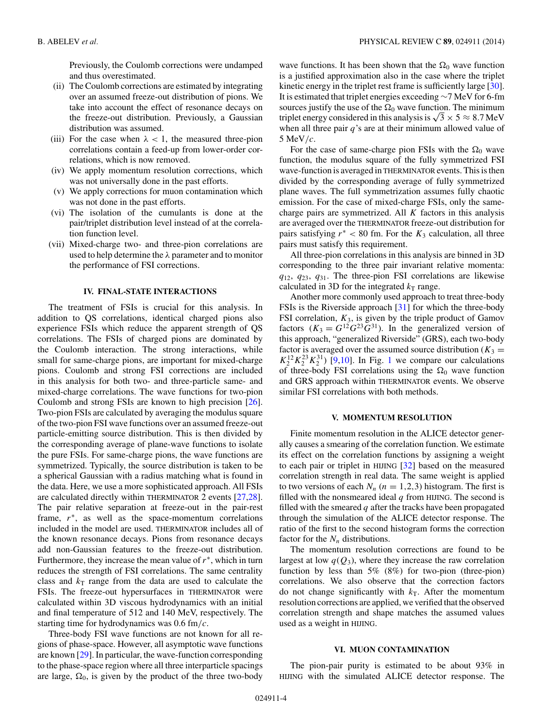<span id="page-3-0"></span>Previously, the Coulomb corrections were undamped and thus overestimated.

- (ii) The Coulomb corrections are estimated by integrating over an assumed freeze-out distribution of pions. We take into account the effect of resonance decays on the freeze-out distribution. Previously, a Gaussian distribution was assumed.
- (iii) For the case when  $\lambda$  < 1, the measured three-pion correlations contain a feed-up from lower-order correlations, which is now removed.
- (iv) We apply momentum resolution corrections, which was not universally done in the past efforts.
- (v) We apply corrections for muon contamination which was not done in the past efforts.
- (vi) The isolation of the cumulants is done at the pair/triplet distribution level instead of at the correlation function level.
- (vii) Mixed-charge two- and three-pion correlations are used to help determine the  $\lambda$  parameter and to monitor the performance of FSI corrections.

## **IV. FINAL-STATE INTERACTIONS**

The treatment of FSIs is crucial for this analysis. In addition to QS correlations, identical charged pions also experience FSIs which reduce the apparent strength of QS correlations. The FSIs of charged pions are dominated by the Coulomb interaction. The strong interactions, while small for same-charge pions, are important for mixed-charge pions. Coulomb and strong FSI corrections are included in this analysis for both two- and three-particle same- and mixed-charge correlations. The wave functions for two-pion Coulomb and strong FSIs are known to high precision [\[26\]](#page-13-0). Two-pion FSIs are calculated by averaging the modulus square of the two-pion FSI wave functions over an assumed freeze-out particle-emitting source distribution. This is then divided by the corresponding average of plane-wave functions to isolate the pure FSIs. For same-charge pions, the wave functions are symmetrized. Typically, the source distribution is taken to be a spherical Gaussian with a radius matching what is found in the data. Here, we use a more sophisticated approach. All FSIs are calculated directly within THERMINATOR 2 events [\[27,28\]](#page-13-0). The pair relative separation at freeze-out in the pair-rest frame,  $r^*$ , as well as the space-momentum correlations included in the model are used. THERMINATOR includes all of the known resonance decays. Pions from resonance decays add non-Gaussian features to the freeze-out distribution. Furthermore, they increase the mean value of  $r^*$ , which in turn reduces the strength of FSI correlations. The same centrality class and  $k_T$  range from the data are used to calculate the FSIs. The freeze-out hypersurfaces in THERMINATOR were calculated within 3D viscous hydrodynamics with an initial and final temperature of 512 and 140 MeV, respectively. The starting time for hydrodynamics was  $0.6$  fm/ $c$ .

Three-body FSI wave functions are not known for all regions of phase-space. However, all asymptotic wave functions are known [\[29\]](#page-13-0). In particular, the wave-function corresponding to the phase-space region where all three interparticle spacings are large,  $\Omega_0$ , is given by the product of the three two-body

wave functions. It has been shown that the  $\Omega_0$  wave function is a justified approximation also in the case where the triplet kinetic energy in the triplet rest frame is sufficiently large [\[30\]](#page-13-0). It is estimated that triplet energies exceeding ∼7 MeV for 6-fm sources justify the use of the  $\Omega_0$  wave function. The minimum triplet energy considered in this analysis is  $\sqrt{3} \times 5 \approx 8.7$  MeV when all three pair  $q$ 's are at their minimum allowed value of  $5$  MeV/ $c$ .

For the case of same-charge pion FSIs with the  $\Omega_0$  wave function, the modulus square of the fully symmetrized FSI wave-function is averaged in THERMINATOR events. This is then divided by the corresponding average of fully symmetrized plane waves. The full symmetrization assumes fully chaotic emission. For the case of mixed-charge FSIs, only the samecharge pairs are symmetrized. All  $K$  factors in this analysis are averaged over the THERMINATOR freeze-out distribution for pairs satisfying  $r^*$  < 80 fm. For the  $K_3$  calculation, all three pairs must satisfy this requirement.

All three-pion correlations in this analysis are binned in 3D corresponding to the three pair invariant relative momenta:  $q_{12}$ ,  $q_{23}$ ,  $q_{31}$ . The three-pion FSI correlations are likewise calculated in 3D for the integrated  $k_T$  range.

Another more commonly used approach to treat three-body FSIs is the Riverside approach [\[31\]](#page-13-0) for which the three-body FSI correlation,  $K_3$ , is given by the triple product of Gamov factors  $(K_3 = G^{12}G^{23}G^{31})$ . In the generalized version of this approach, "generalized Riverside" (GRS), each two-body factor is averaged over the assumed source distribution ( $K_3$  =  $K_2^{12} K_2^{23} K_2^{31}$  $K_2^{12} K_2^{23} K_2^{31}$  $K_2^{12} K_2^{23} K_2^{31}$ ) [\[9,10\]](#page-13-0). In Fig. 1 we compare our calculations of three-body FSI correlations using the  $\Omega_0$  wave function and GRS approach within THERMINATOR events. We observe similar FSI correlations with both methods.

## **V. MOMENTUM RESOLUTION**

Finite momentum resolution in the ALICE detector generally causes a smearing of the correlation function. We estimate its effect on the correlation functions by assigning a weight to each pair or triplet in HIJING [\[32\]](#page-13-0) based on the measured correlation strength in real data. The same weight is applied to two versions of each  $N_n$  ( $n = 1,2,3$ ) histogram. The first is filled with the nonsmeared ideal  $q$  from HIJING. The second is filled with the smeared  $q$  after the tracks have been propagated through the simulation of the ALICE detector response. The ratio of the first to the second histogram forms the correction factor for the  $N_n$  distributions.

The momentum resolution corrections are found to be largest at low  $q(Q_3)$ , where they increase the raw correlation function by less than 5% (8%) for two-pion (three-pion) correlations. We also observe that the correction factors do not change significantly with  $k<sub>T</sub>$ . After the momentum resolution corrections are applied, we verified that the observed correlation strength and shape matches the assumed values used as a weight in HIJING.

### **VI. MUON CONTAMINATION**

The pion-pair purity is estimated to be about 93% in HIJING with the simulated ALICE detector response. The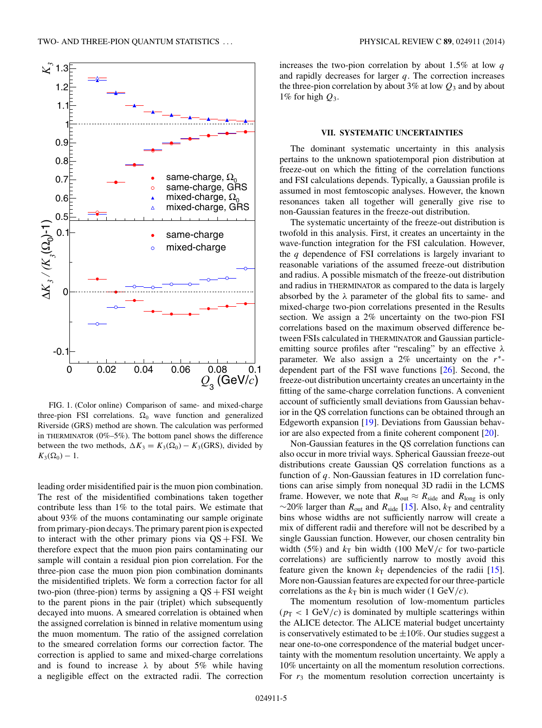<span id="page-4-0"></span>

FIG. 1. (Color online) Comparison of same- and mixed-charge three-pion FSI correlations.  $\Omega_0$  wave function and generalized Riverside (GRS) method are shown. The calculation was performed in THERMINATOR  $(0\% - 5\%)$ . The bottom panel shows the difference between the two methods,  $\Delta K_3 = K_3(\Omega_0) - K_3(GRS)$ , divided by  $K_3(\Omega_0) - 1.$ 

leading order misidentified pair is the muon pion combination. The rest of the misidentified combinations taken together contribute less than 1% to the total pairs. We estimate that about 93% of the muons contaminating our sample originate from primary-pion decays. The primary parent pion is expected to interact with the other primary pions via  $QS + FSI$ . We therefore expect that the muon pion pairs contaminating our sample will contain a residual pion pion correlation. For the three-pion case the muon pion pion combination dominants the misidentified triplets. We form a correction factor for all two-pion (three-pion) terms by assigning a  $QS + FSI$  weight to the parent pions in the pair (triplet) which subsequently decayed into muons. A smeared correlation is obtained when the assigned correlation is binned in relative momentum using the muon momentum. The ratio of the assigned correlation to the smeared correlation forms our correction factor. The correction is applied to same and mixed-charge correlations and is found to increase  $\lambda$  by about 5% while having a negligible effect on the extracted radii. The correction

increases the two-pion correlation by about 1.5% at low  $q$ and rapidly decreases for larger  $q$ . The correction increases the three-pion correlation by about  $3\%$  at low  $Q_3$  and by about 1% for high  $Q_3$ .

#### **VII. SYSTEMATIC UNCERTAINTIES**

The dominant systematic uncertainty in this analysis pertains to the unknown spatiotemporal pion distribution at freeze-out on which the fitting of the correlation functions and FSI calculations depends. Typically, a Gaussian profile is assumed in most femtoscopic analyses. However, the known resonances taken all together will generally give rise to non-Gaussian features in the freeze-out distribution.

The systematic uncertainty of the freeze-out distribution is twofold in this analysis. First, it creates an uncertainty in the wave-function integration for the FSI calculation. However, the  $q$  dependence of FSI correlations is largely invariant to reasonable variations of the assumed freeze-out distribution and radius. A possible mismatch of the freeze-out distribution and radius in THERMINATOR as compared to the data is largely absorbed by the λ parameter of the global fits to same- and mixed-charge two-pion correlations presented in the Results section. We assign a 2% uncertainty on the two-pion FSI correlations based on the maximum observed difference between FSIs calculated in THERMINATOR and Gaussian particleemitting source profiles after "rescaling" by an effective  $\lambda$ parameter. We also assign a  $2\%$  uncertainty on the  $r^*$ dependent part of the FSI wave functions [\[26\]](#page-13-0). Second, the freeze-out distribution uncertainty creates an uncertainty in the fitting of the same-charge correlation functions. A convenient account of sufficiently small deviations from Gaussian behavior in the QS correlation functions can be obtained through an Edgeworth expansion [\[19\]](#page-13-0). Deviations from Gaussian behavior are also expected from a finite coherent component [\[20\]](#page-13-0).

Non-Gaussian features in the QS correlation functions can also occur in more trivial ways. Spherical Gaussian freeze-out distributions create Gaussian QS correlation functions as a function of  $q$ . Non-Gaussian features in 1D correlation functions can arise simply from nonequal 3D radii in the LCMS frame. However, we note that  $R_{\text{out}} \approx R_{\text{side}}$  and  $R_{\text{long}}$  is only  $\sim$ 20% larger than  $R_{\text{out}}$  and  $R_{\text{side}}$  [\[15\]](#page-13-0). Also,  $k_T$  and centrality bins whose widths are not sufficiently narrow will create a mix of different radii and therefore will not be described by a single Gaussian function. However, our chosen centrality bin width (5%) and  $k_T$  bin width (100 MeV/c for two-particle correlations) are sufficiently narrow to mostly avoid this feature given the known  $k<sub>T</sub>$  dependencies of the radii [\[15\]](#page-13-0). More non-Gaussian features are expected for our three-particle correlations as the  $k<sub>T</sub>$  bin is much wider (1 GeV/c).

The momentum resolution of low-momentum particles  $(p_T < 1 \text{ GeV}/c)$  is dominated by multiple scatterings within the ALICE detector. The ALICE material budget uncertainty is conservatively estimated to be  $\pm 10\%$ . Our studies suggest a near one-to-one correspondence of the material budget uncertainty with the momentum resolution uncertainty. We apply a 10% uncertainty on all the momentum resolution corrections. For  $r_3$  the momentum resolution correction uncertainty is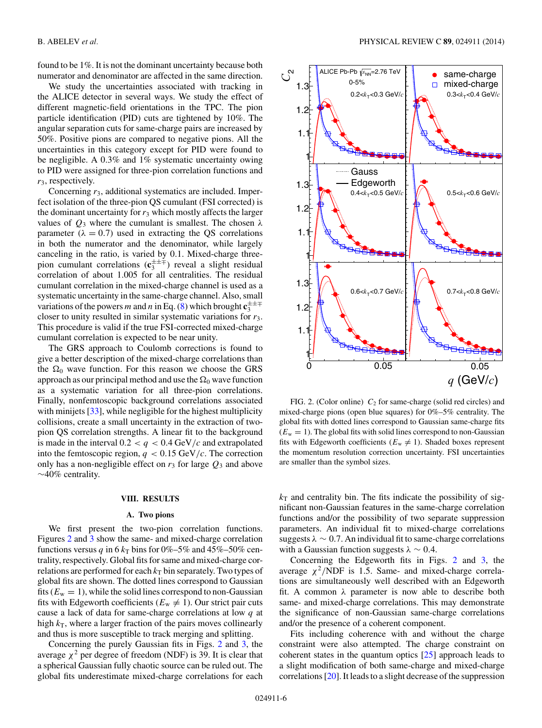<span id="page-5-0"></span>found to be 1%. It is not the dominant uncertainty because both numerator and denominator are affected in the same direction.

We study the uncertainties associated with tracking in the ALICE detector in several ways. We study the effect of different magnetic-field orientations in the TPC. The pion particle identification (PID) cuts are tightened by 10%. The angular separation cuts for same-charge pairs are increased by 50%. Positive pions are compared to negative pions. All the uncertainties in this category except for PID were found to be negligible. A 0.3% and 1% systematic uncertainty owing to PID were assigned for three-pion correlation functions and  $r_3$ , respectively.

Concerning  $r_3$ , additional systematics are included. Imperfect isolation of the three-pion QS cumulant (FSI corrected) is the dominant uncertainty for  $r_3$  which mostly affects the larger values of  $Q_3$  where the cumulant is smallest. The chosen  $\lambda$ parameter ( $\lambda = 0.7$ ) used in extracting the QS correlations in both the numerator and the denominator, while largely canceling in the ratio, is varied by 0.1. Mixed-charge threepion cumulant correlations  $(c_3^{\pm\pm\mp})$  reveal a slight residual correlation of about 1.005 for all centralities. The residual cumulant correlation in the mixed-charge channel is used as a systematic uncertainty in the same-charge channel. Also, small variations of the powers *m* and *n* in Eq. [\(8\)](#page-2-0) which brought  $\mathbf{c}_3^{\pm\pm\mp}$ closer to unity resulted in similar systematic variations for  $r_3$ . This procedure is valid if the true FSI-corrected mixed-charge cumulant correlation is expected to be near unity.

The GRS approach to Coulomb corrections is found to give a better description of the mixed-charge correlations than the  $\Omega_0$  wave function. For this reason we choose the GRS approach as our principal method and use the  $\Omega_0$  wave function as a systematic variation for all three-pion correlations. Finally, nonfemtoscopic background correlations associated with minijets [\[33\]](#page-13-0), while negligible for the highest multiplicity collisions, create a small uncertainty in the extraction of twopion QS correlation strengths. A linear fit to the background is made in the interval  $0.2 < q < 0.4$  GeV/c and extrapolated into the femtoscopic region,  $q < 0.15$  GeV/c. The correction only has a non-negligible effect on  $r_3$  for large  $Q_3$  and above ∼40% centrality.

### **VIII. RESULTS**

## **A. Two pions**

We first present the two-pion correlation functions. Figures 2 and [3](#page-6-0) show the same- and mixed-charge correlation functions versus q in 6  $k<sub>T</sub>$  bins for 0%–5% and 45%–50% centrality, respectively. Global fits for same and mixed-charge correlations are performed for each  $k<sub>T</sub>$  bin separately. Two types of global fits are shown. The dotted lines correspond to Gaussian fits  $(E_w = 1)$ , while the solid lines correspond to non-Gaussian fits with Edgeworth coefficients ( $E_w \neq 1$ ). Our strict pair cuts cause a lack of data for same-charge correlations at low  $q$  at high  $k_T$ , where a larger fraction of the pairs moves collinearly and thus is more susceptible to track merging and splitting.

Concerning the purely Gaussian fits in Figs. 2 and [3,](#page-6-0) the average  $\chi^2$  per degree of freedom (NDF) is 39. It is clear that a spherical Gaussian fully chaotic source can be ruled out. The global fits underestimate mixed-charge correlations for each



FIG. 2. (Color online)  $C_2$  for same-charge (solid red circles) and mixed-charge pions (open blue squares) for 0%–5% centrality. The global fits with dotted lines correspond to Gaussian same-charge fits  $(E_w = 1)$ . The global fits with solid lines correspond to non-Gaussian fits with Edgeworth coefficients ( $E_w \neq 1$ ). Shaded boxes represent the momentum resolution correction uncertainty. FSI uncertainties are smaller than the symbol sizes.

 $k<sub>T</sub>$  and centrality bin. The fits indicate the possibility of significant non-Gaussian features in the same-charge correlation functions and/or the possibility of two separate suppression parameters. An individual fit to mixed-charge correlations suggests  $\lambda \sim 0.7$ . An individual fit to same-charge correlations with a Gaussian function suggests  $\lambda \sim 0.4$ .

Concerning the Edgeworth fits in Figs. 2 and [3,](#page-6-0) the average  $\chi^2/NDF$  is 1.5. Same- and mixed-charge correlations are simultaneously well described with an Edgeworth fit. A common  $\lambda$  parameter is now able to describe both same- and mixed-charge correlations. This may demonstrate the significance of non-Gaussian same-charge correlations and/or the presence of a coherent component.

Fits including coherence with and without the charge constraint were also attempted. The charge constraint on coherent states in the quantum optics [\[25\]](#page-13-0) approach leads to a slight modification of both same-charge and mixed-charge correlations [\[20\]](#page-13-0). It leads to a slight decrease of the suppression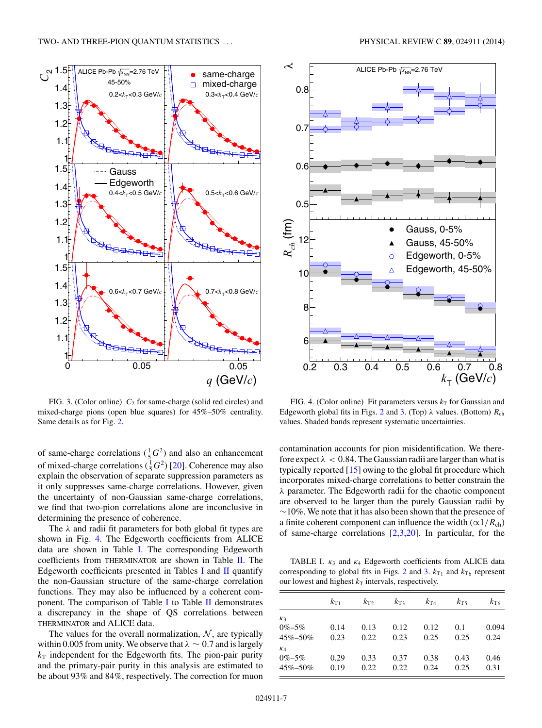<span id="page-6-0"></span>

FIG. 3. (Color online)  $C_2$  for same-charge (solid red circles) and mixed-charge pions (open blue squares) for 45%–50% centrality. Same details as for Fig. [2.](#page-5-0)

of same-charge correlations  $(\frac{1}{5}G^2)$  and also an enhancement of mixed-charge correlations  $(\frac{1}{5}G^2)$  [\[20\]](#page-13-0). Coherence may also explain the observation of separate suppression parameters as it only suppresses same-charge correlations. However, given the uncertainty of non-Gaussian same-charge correlations, we find that two-pion correlations alone are inconclusive in determining the presence of coherence.

The  $\lambda$  and radii fit parameters for both global fit types are shown in Fig. 4. The Edgeworth coefficients from ALICE data are shown in Table I. The corresponding Edgeworth coefficients from THERMINATOR are shown in Table [II.](#page-7-0) The Edgeworth coefficients presented in Tables I and [II](#page-7-0) quantify the non-Gaussian structure of the same-charge correlation functions. They may also be influenced by a coherent component. The comparison of Table I to Table [II](#page-7-0) demonstrates a discrepancy in the shape of QS correlations between THERMINATOR and ALICE data.

The values for the overall normalization,  $N$ , are typically within 0.005 from unity. We observe that  $\lambda \sim 0.7$  and is largely  $k<sub>T</sub>$  independent for the Edgeworth fits. The pion-pair purity and the primary-pair purity in this analysis are estimated to be about 93% and 84%, respectively. The correction for muon



FIG. 4. (Color online) Fit parameters versus  $k_T$  for Gaussian and Edgeworth global fits in Figs. [2](#page-5-0) and 3. (Top)  $\lambda$  values. (Bottom)  $R_{ch}$ values. Shaded bands represent systematic uncertainties.

contamination accounts for pion misidentification. We therefore expect  $\lambda < 0.84$ . The Gaussian radii are larger than what is typically reported [\[15\]](#page-13-0) owing to the global fit procedure which incorporates mixed-charge correlations to better constrain the λ parameter. The Edgeworth radii for the chaotic component are observed to be larger than the purely Gaussian radii by  $~10\%$ . We note that it has also been shown that the presence of a finite coherent component can influence the width  $(\alpha 1/R_{ch})$ of same-charge correlations [\[2,3,20\]](#page-13-0). In particular, for the

TABLE I.  $\kappa_3$  and  $\kappa_4$  Edgeworth coefficients from ALICE data corresponding to global fits in Figs. [2](#page-5-0) and 3.  $k_{\text{T1}}$  and  $k_{\text{T6}}$  represent our lowest and highest  $k<sub>T</sub>$  intervals, respectively.

|             | $k_{\text{T1}}$ | $k_{\rm T2}$ | $k_{\text{T}}$ 3 | $k_{\text{T4}}$ | $k_{\text{T}}$ | $k_{\text{T6}}$ |
|-------------|-----------------|--------------|------------------|-----------------|----------------|-----------------|
| $K_3$       |                 |              |                  |                 |                |                 |
| $0\% - 5\%$ | 0.14            | 0.13         | 0.12             | 0.12            | 0.1            | 0.094           |
| 45%-50%     | 0.23            | 0.22         | 0.23             | 0.25            | 0.25           | 0.24            |
| $K_4$       |                 |              |                  |                 |                |                 |
| $0\% - 5\%$ | 0.29            | 0.33         | 0.37             | 0.38            | 0.43           | 0.46            |
| 45%-50%     | 0.19            | 0.22         | 0.22             | 0.24            | 0.25           | 0.31            |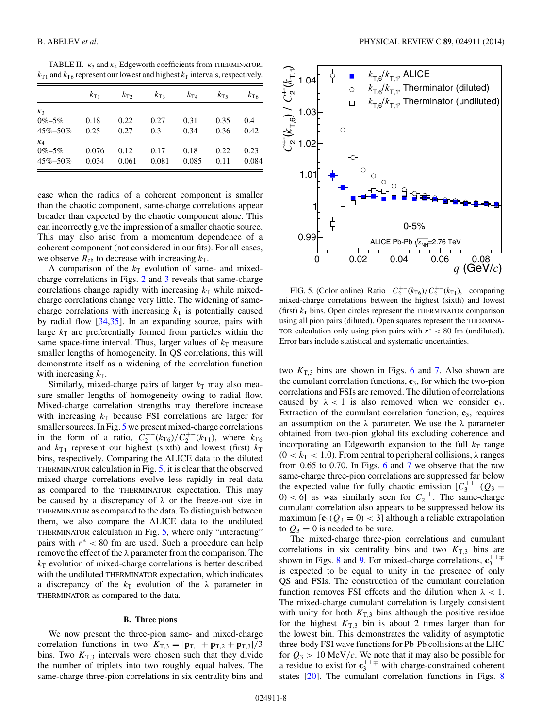<span id="page-7-0"></span>TABLE II.  $\kappa_3$  and  $\kappa_4$  Edgeworth coefficients from THERMINATOR.  $k_{\text{T1}}$  and  $k_{\text{T6}}$  represent our lowest and highest  $k_{\text{T}}$  intervals, respectively.

|               | $k_{\text{T1}}$ | $k_{\rm T2}$ | $k_{\text{T3}}$ | $k_{\text{T}_4}$ | $k_{\text{T}}$ | $k_{\text{T6}}$ |
|---------------|-----------------|--------------|-----------------|------------------|----------------|-----------------|
| $K_3$         |                 |              |                 |                  |                |                 |
| $0\% - 5\%$   | 0.18            | 0.22         | 0.27            | 0.31             | 0.35           | 0.4             |
| $45\% - 50\%$ | 0.25            | 0.27         | 0.3             | 0.34             | 0.36           | 0.42            |
| $K_4$         |                 |              |                 |                  |                |                 |
| $0\% - 5\%$   | 0.076           | 0.12         | 0.17            | 0.18             | 0.22           | 0.23            |
| $45\% - 50\%$ | 0.034           | 0.061        | 0.081           | 0.085            | 0.11           | 0.084           |

case when the radius of a coherent component is smaller than the chaotic component, same-charge correlations appear broader than expected by the chaotic component alone. This can incorrectly give the impression of a smaller chaotic source. This may also arise from a momentum dependence of a coherent component (not considered in our fits). For all cases, we observe  $R_{ch}$  to decrease with increasing  $k_T$ .

A comparison of the  $k<sub>T</sub>$  evolution of same- and mixedcharge correlations in Figs. [2](#page-5-0) and [3](#page-6-0) reveals that same-charge correlations change rapidly with increasing  $k<sub>T</sub>$  while mixedcharge correlations change very little. The widening of samecharge correlations with increasing  $k<sub>T</sub>$  is potentially caused by radial flow [\[34,35\]](#page-13-0). In an expanding source, pairs with large  $k<sub>T</sub>$  are preferentially formed from particles within the same space-time interval. Thus, larger values of  $k<sub>T</sub>$  measure smaller lengths of homogeneity. In QS correlations, this will demonstrate itself as a widening of the correlation function with increasing  $k_T$ .

Similarly, mixed-charge pairs of larger  $k<sub>T</sub>$  may also measure smaller lengths of homogeneity owing to radial flow. Mixed-charge correlation strengths may therefore increase with increasing  $k<sub>T</sub>$  because FSI correlations are larger for smaller sources. In Fig. 5 we present mixed-charge correlations in the form of a ratio,  $C_2^{+-(k_{T6})}/C_2^{+-}(k_{T1})$ , where  $k_{T6}$ and  $k_{\text{T1}}$  represent our highest (sixth) and lowest (first)  $k_{\text{T}}$ bins, respectively. Comparing the ALICE data to the diluted THERMINATOR calculation in Fig. 5, it is clear that the observed mixed-charge correlations evolve less rapidly in real data as compared to the THERMINATOR expectation. This may be caused by a discrepancy of  $\lambda$  or the freeze-out size in THERMINATOR as compared to the data. To distinguish between them, we also compare the ALICE data to the undiluted THERMINATOR calculation in Fig. 5, where only "interacting" pairs with  $r^*$  < 80 fm are used. Such a procedure can help remove the effect of the  $\lambda$  parameter from the comparison. The  $k<sub>T</sub>$  evolution of mixed-charge correlations is better described with the undiluted THERMINATOR expectation, which indicates a discrepancy of the  $k_T$  evolution of the  $\lambda$  parameter in THERMINATOR as compared to the data.

#### **B. Three pions**

We now present the three-pion same- and mixed-charge correlation functions in two  $K_{T,3} = |\mathbf{p}_{T,1} + \mathbf{p}_{T,2} + \mathbf{p}_{T,3}|/3$ bins. Two  $K_{\text{T,3}}$  intervals were chosen such that they divide the number of triplets into two roughly equal halves. The same-charge three-pion correlations in six centrality bins and



FIG. 5. (Color online) Ratio  $C_2^{+-}(k_{T6})/C_2^{+-}(k_{T1})$ , comparing mixed-charge correlations between the highest (sixth) and lowest (first)  $k_T$  bins. Open circles represent the THERMINATOR comparison using all pion pairs (diluted). Open squares represent the THERMINA-TOR calculation only using pion pairs with  $r^* < 80$  fm (undiluted). Error bars include statistical and systematic uncertainties.

two  $K_{\text{T,3}}$  bins are shown in Figs. [6](#page-8-0) and [7.](#page-8-0) Also shown are the cumulant correlation functions,  $c_3$ , for which the two-pion correlations and FSIs are removed. The dilution of correlations caused by  $\lambda < 1$  is also removed when we consider  $c_3$ . Extraction of the cumulant correlation function,  $c_3$ , requires an assumption on the  $\lambda$  parameter. We use the  $\lambda$  parameter obtained from two-pion global fits excluding coherence and incorporating an Edgeworth expansion to the full  $k_T$  range  $(0 < k<sub>T</sub> < 1.0)$ . From central to peripheral collisions,  $\lambda$  ranges from 0.65 to 0.70. In Figs. [6](#page-8-0) and [7](#page-8-0) we observe that the raw same-charge three-pion correlations are suppressed far below the expected value for fully chaotic emission  $[C_3^{\pm \pm \pm} (Q_3 =$  $0 < 6$ ] as was similarly seen for  $C_2^{\pm \pm}$ . The same-charge cumulant correlation also appears to be suppressed below its maximum  $[c_3(Q_3 = 0) < 3]$  although a reliable extrapolation to  $Q_3 = 0$  is needed to be sure.

The mixed-charge three-pion correlations and cumulant correlations in six centrality bins and two  $K_{\text{T,3}}$  bins are shown in Figs. [8](#page-9-0) and [9.](#page-9-0) For mixed-charge correlations,  $\mathbf{c}_3^{\pm\pm\mp}$ is expected to be equal to unity in the presence of only QS and FSIs. The construction of the cumulant correlation function removes FSI effects and the dilution when  $\lambda < 1$ . The mixed-charge cumulant correlation is largely consistent with unity for both  $K<sub>T,3</sub>$  bins although the positive residue for the highest  $K_{\text{T,3}}$  bin is about 2 times larger than for the lowest bin. This demonstrates the validity of asymptotic three-body FSI wave functions for Pb-Pb collisions at the LHC for  $Q_3 > 10 \text{ MeV}/c$ . We note that it may also be possible for a residue to exist for  $c_3^{\pm\pm\mp}$  with charge-constrained coherent states [\[20\]](#page-13-0). The cumulant correlation functions in Figs. [8](#page-9-0)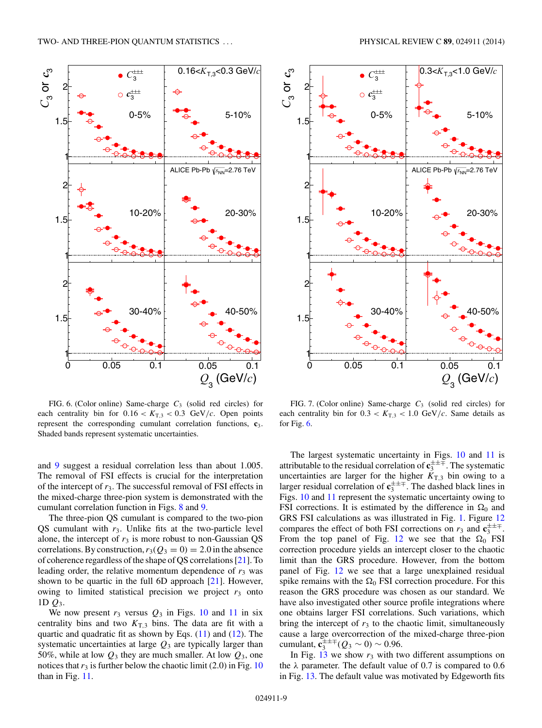<span id="page-8-0"></span>

FIG. 6. (Color online) Same-charge  $C_3$  (solid red circles) for each centrality bin for  $0.16 < K_{\text{T,3}} < 0.3$  GeV/c. Open points represent the corresponding cumulant correlation functions, **c**3. Shaded bands represent systematic uncertainties.

and [9](#page-9-0) suggest a residual correlation less than about 1.005. The removal of FSI effects is crucial for the interpretation of the intercept of  $r_3$ . The successful removal of FSI effects in the mixed-charge three-pion system is demonstrated with the cumulant correlation function in Figs. [8](#page-9-0) and [9.](#page-9-0)

The three-pion QS cumulant is compared to the two-pion QS cumulant with  $r_3$ . Unlike fits at the two-particle level alone, the intercept of  $r_3$  is more robust to non-Gaussian QS correlations. By construction,  $r_3(Q_3 = 0) = 2.0$  in the absence of coherence regardless of the shape of QS correlations [\[21\]](#page-13-0). To leading order, the relative momentum dependence of  $r_3$  was shown to be quartic in the full 6D approach [\[21\]](#page-13-0). However, owing to limited statistical precision we project  $r_3$  onto  $1DQ_3$ .

We now present  $r_3$  versus  $Q_3$  in Figs. [10](#page-10-0) and [11](#page-10-0) in six centrality bins and two  $K_{\text{T,3}}$  bins. The data are fit with a quartic and quadratic fit as shown by Eqs.  $(11)$  and  $(12)$ . The systematic uncertainties at large  $Q_3$  are typically larger than 50%, while at low  $Q_3$  they are much smaller. At low  $Q_3$ , one notices that  $r_3$  is further below the chaotic limit (2.0) in Fig. [10](#page-10-0) than in Fig. [11.](#page-10-0)



FIG. 7. (Color online) Same-charge  $C_3$  (solid red circles) for each centrality bin for  $0.3 < K_{\text{T,3}} < 1.0 \text{ GeV}/c$ . Same details as for Fig. 6.

The largest systematic uncertainty in Figs. [10](#page-10-0) and [11](#page-10-0) is attributable to the residual correlation of  $c_3^{\pm\pm\mp}$ . The systematic uncertainties are larger for the higher  $K_{\text{T,3}}$  bin owing to a larger residual correlation of  $c_3^{\pm\pm\mp}$ . The dashed black lines in Figs. [10](#page-10-0) and [11](#page-10-0) represent the systematic uncertainty owing to FSI corrections. It is estimated by the difference in  $\Omega_0$  and GRS FSI calculations as was illustrated in Fig. [1.](#page-4-0) Figure [12](#page-11-0) compares the effect of both FSI corrections on  $r_3$  and  $\mathbf{c}_3^{\pm\pm\mp}$ . From the top panel of Fig. [12](#page-11-0) we see that the  $\Omega_0$  FSI correction procedure yields an intercept closer to the chaotic limit than the GRS procedure. However, from the bottom panel of Fig. [12](#page-11-0) we see that a large unexplained residual spike remains with the  $\Omega_0$  FSI correction procedure. For this reason the GRS procedure was chosen as our standard. We have also investigated other source profile integrations where one obtains larger FSI correlations. Such variations, which bring the intercept of  $r_3$  to the chaotic limit, simultaneously cause a large overcorrection of the mixed-charge three-pion cumulant,  $c_3^{\pm \pm \mp}(Q_3 \sim 0) \sim 0.96$ .

In Fig. [13](#page-11-0) we show  $r_3$  with two different assumptions on the  $\lambda$  parameter. The default value of 0.7 is compared to 0.6 in Fig. [13.](#page-11-0) The default value was motivated by Edgeworth fits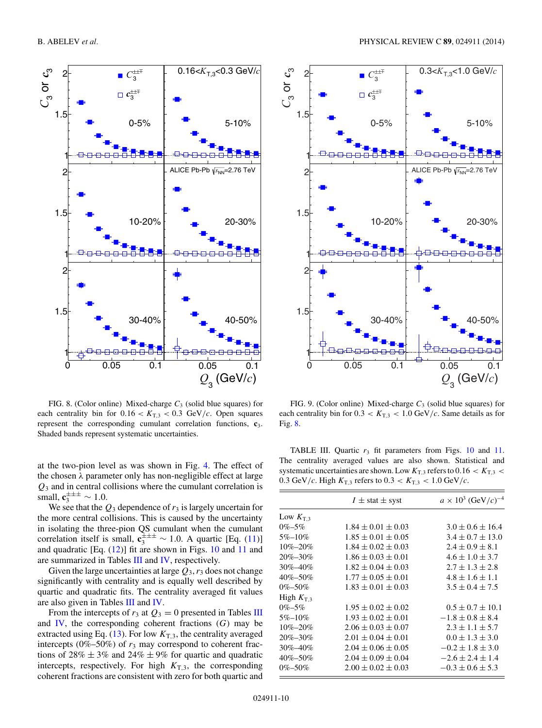<span id="page-9-0"></span>

FIG. 8. (Color online) Mixed-charge  $C_3$  (solid blue squares) for each centrality bin for  $0.16 < K_{T,3} < 0.3$  GeV/c. Open squares represent the corresponding cumulant correlation functions, **c**3. Shaded bands represent systematic uncertainties.

at the two-pion level as was shown in Fig. [4.](#page-6-0) The effect of the chosen  $\lambda$  parameter only has non-negligible effect at large  $Q_3$  and in central collisions where the cumulant correlation is small,  $c_3^{\pm \pm \pm} \sim 1.0$ .

We see that the  $Q_3$  dependence of  $r_3$  is largely uncertain for the more central collisions. This is caused by the uncertainty in isolating the three-pion QS cumulant when the cumulant correlation itself is small,  $c_3^{\pm \pm \pm} \sim 1.0$ . A quartic [Eq. [\(11\)](#page-2-0)] and quadratic [Eq.  $(12)$ ] fit are shown in Figs. [10](#page-10-0) and [11](#page-10-0) and are summarized in Tables III and [IV,](#page-10-0) respectively.

Given the large uncertainties at large  $Q_3$ ,  $r_3$  does not change significantly with centrality and is equally well described by quartic and quadratic fits. The centrality averaged fit values are also given in Tables III and [IV.](#page-10-0)

From the intercepts of  $r_3$  at  $Q_3 = 0$  presented in Tables III and  $IV$ , the corresponding coherent fractions  $(G)$  may be extracted using Eq. [\(13\)](#page-2-0). For low  $K_{\text{T,3}}$ , the centrality averaged intercepts (0%–50%) of  $r_3$  may correspond to coherent fractions of  $28\% \pm 3\%$  and  $24\% \pm 9\%$  for quartic and quadratic intercepts, respectively. For high  $K_{\text{T,3}}$ , the corresponding coherent fractions are consistent with zero for both quartic and



FIG. 9. (Color online) Mixed-charge  $C_3$  (solid blue squares) for each centrality bin for  $0.3 < K_{\text{T,3}} < 1.0 \text{ GeV}/c$ . Same details as for Fig. 8.

TABLE III. Quartic  $r_3$  fit parameters from Figs. [10](#page-10-0) and [11.](#page-10-0) The centrality averaged values are also shown. Statistical and systematic uncertainties are shown. Low  $K_{\text{T,3}}$  refers to 0.16  $K_{\text{T,3}}$  < 0.3 GeV/c. High  $K_{\text{T,3}}$  refers to 0.3 <  $K_{\text{T,3}}$  < 1.0 GeV/c.

|                       | $I \pm$ stat $\pm$ syst  | $a \times 10^3 \, (\text{GeV}/c)^{-4}$ |
|-----------------------|--------------------------|----------------------------------------|
| Low $K_{\text{T.3}}$  |                          |                                        |
| $0\% - 5\%$           | $1.84 \pm 0.01 \pm 0.03$ | $3.0 \pm 0.6 \pm 16.4$                 |
| 5%–10%                | $1.85 \pm 0.01 \pm 0.05$ | $3.4 \pm 0.7 \pm 13.0$                 |
| $10\% - 20\%$         | $1.84 \pm 0.02 \pm 0.03$ | $2.4 \pm 0.9 \pm 8.1$                  |
| $20\% - 30\%$         | $1.86 \pm 0.03 \pm 0.01$ | $4.6 \pm 1.0 \pm 3.7$                  |
| $30\% - 40\%$         | $1.82 \pm 0.04 \pm 0.03$ | $2.7 \pm 1.3 \pm 2.8$                  |
| 40%-50%               | $1.77 \pm 0.05 \pm 0.01$ | $4.8 \pm 1.6 \pm 1.1$                  |
| $0\% - 50\%$          | $1.83 \pm 0.01 \pm 0.03$ | $3.5 \pm 0.4 \pm 7.5$                  |
| High $K_{\text{T}}$ 3 |                          |                                        |
| $0\% - 5\%$           | $1.95 \pm 0.02 \pm 0.02$ | $0.5 \pm 0.7 \pm 10.1$                 |
| $5\% - 10\%$          | $1.93 \pm 0.02 \pm 0.01$ | $-1.8 \pm 0.8 \pm 8.4$                 |
| $10\% - 20\%$         | $2.06 \pm 0.03 \pm 0.07$ | $2.3 \pm 1.1 \pm 5.7$                  |
| $20\% - 30\%$         | $2.01 \pm 0.04 \pm 0.01$ | $0.0 \pm 1.3 \pm 3.0$                  |
| $30\% - 40\%$         | $2.04 \pm 0.06 \pm 0.05$ | $-0.2 \pm 1.8 \pm 3.0$                 |
| 40%-50%               | $2.04 \pm 0.09 \pm 0.04$ | $-2.6 \pm 2.4 \pm 1.4$                 |
| $0\% - 50\%$          | $2.00 \pm 0.02 \pm 0.03$ | $-0.3 \pm 0.6 \pm 5.3$                 |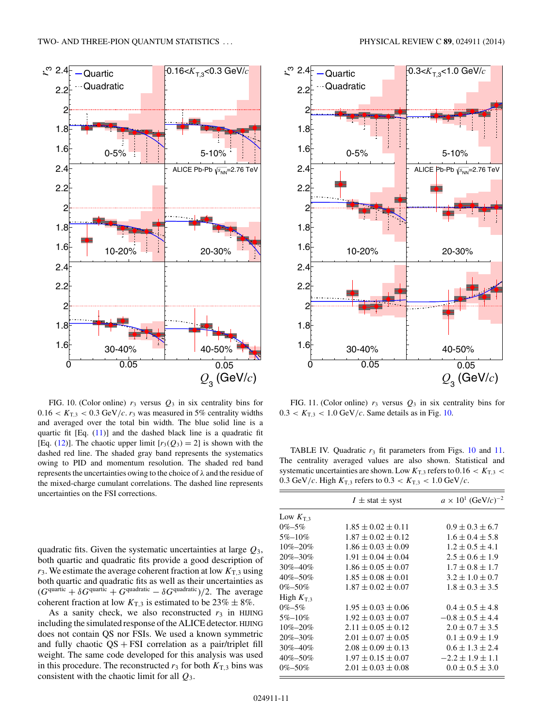<span id="page-10-0"></span>

FIG. 10. (Color online)  $r_3$  versus  $Q_3$  in six centrality bins for  $0.16 < K_{T,3} < 0.3$  GeV/c.  $r_3$  was measured in 5% centrality widths and averaged over the total bin width. The blue solid line is a quartic fit [Eq.  $(11)$ ] and the dashed black line is a quadratic fit [Eq. [\(12\)](#page-2-0)]. The chaotic upper limit  $[r_3(Q_3) = 2]$  is shown with the dashed red line. The shaded gray band represents the systematics owing to PID and momentum resolution. The shaded red band represents the uncertainties owing to the choice of  $\lambda$  and the residue of the mixed-charge cumulant correlations. The dashed line represents uncertainties on the FSI corrections.

quadratic fits. Given the systematic uncertainties at large  $Q_3$ , both quartic and quadratic fits provide a good description of  $r_3$ . We estimate the average coherent fraction at low  $K_{\text{T,3}}$  using both quartic and quadratic fits as well as their uncertainties as ( $G^{\text{quartic}} + \delta G^{\text{quartic}} + G^{\text{quadratic}} - \delta G^{\text{quadratic}}$ )/2. The average coherent fraction at low  $K_{\text{T,3}}$  is estimated to be 23%  $\pm$  8%.

As a sanity check, we also reconstructed  $r_3$  in HIJING including the simulated response of the ALICE detector. HIJING does not contain QS nor FSIs. We used a known symmetric and fully chaotic  $QS + FSI$  correlation as a pair/triplet fill weight. The same code developed for this analysis was used in this procedure. The reconstructed  $r_3$  for both  $K_{\text{T,3}}$  bins was consistent with the chaotic limit for all  $Q_3$ .



FIG. 11. (Color online)  $r_3$  versus  $Q_3$  in six centrality bins for  $0.3 < K_{\text{T,3}} < 1.0 \text{ GeV}/c$ . Same details as in Fig. 10.

TABLE IV. Quadratic  $r_3$  fit parameters from Figs. 10 and 11. The centrality averaged values are also shown. Statistical and systematic uncertainties are shown. Low  $K_{\text{T,3}}$  refers to 0.16  $K_{\text{T,3}}$  < 0.3 GeV/c. High  $K_{\text{T,3}}$  refers to 0.3 <  $K_{\text{T,3}}$  < 1.0 GeV/c.

|                      | $I \pm$ stat $\pm$ syst  | $a \times 10^{1}$ (GeV/c) <sup>-2</sup> |
|----------------------|--------------------------|-----------------------------------------|
| Low $K_{\text{T,3}}$ |                          |                                         |
| $0\% - 5\%$          | $1.85 \pm 0.02 \pm 0.11$ | $0.9 \pm 0.3 \pm 6.7$                   |
| $5\% - 10\%$         | $1.87 \pm 0.02 \pm 0.12$ | $1.6 \pm 0.4 \pm 5.8$                   |
| $10\% - 20\%$        | $1.86 \pm 0.03 \pm 0.09$ | $1.2 \pm 0.5 \pm 4.1$                   |
| $20\% - 30\%$        | $1.91 \pm 0.04 \pm 0.04$ | $2.5 \pm 0.6 \pm 1.9$                   |
| $30\% - 40\%$        | $1.86 \pm 0.05 \pm 0.07$ | $1.7 \pm 0.8 \pm 1.7$                   |
| $40\% - 50\%$        | $1.85 \pm 0.08 \pm 0.01$ | $3.2 \pm 1.0 \pm 0.7$                   |
| $0\% - 50\%$         | $1.87 \pm 0.02 \pm 0.07$ | $1.8 \pm 0.3 \pm 3.5$                   |
| High $K_{T,3}$       |                          |                                         |
| $0\% - 5\%$          | $1.95 \pm 0.03 \pm 0.06$ | $0.4 \pm 0.5 \pm 4.8$                   |
| $5\% - 10\%$         | $1.92 \pm 0.03 \pm 0.07$ | $-0.8 \pm 0.5 \pm 4.4$                  |
| $10\% - 20\%$        | $2.11 \pm 0.05 \pm 0.12$ | $2.0 \pm 0.7 \pm 3.5$                   |
| $20\% - 30\%$        | $2.01 \pm 0.07 \pm 0.05$ | $0.1 \pm 0.9 \pm 1.9$                   |
| $30\% - 40\%$        | $2.08 \pm 0.09 \pm 0.13$ | $0.6 \pm 1.3 \pm 2.4$                   |
| 40%–50%              | $1.97 \pm 0.15 \pm 0.07$ | $-2.2 \pm 1.9 \pm 1.1$                  |
| $0\% - 50\%$         | $2.01 \pm 0.03 \pm 0.08$ | $0.0 \pm 0.5 \pm 3.0$                   |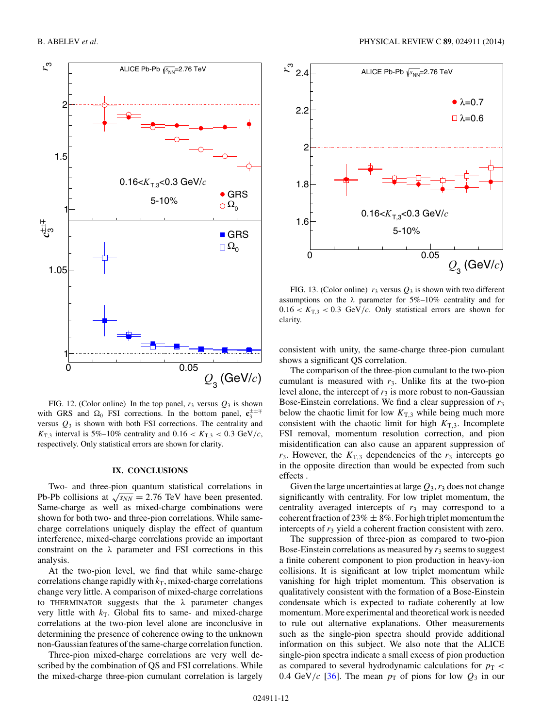<span id="page-11-0"></span>

FIG. 12. (Color online) In the top panel,  $r_3$  versus  $Q_3$  is shown with GRS and  $\Omega_0$  FSI corrections. In the bottom panel,  $\mathbf{c}_3^{\pm\pm\mp}$ versus  $Q_3$  is shown with both FSI corrections. The centrality and  $K_{\text{T,3}}$  interval is 5%–10% centrality and 0.16 <  $K_{\text{T,3}}$  < 0.3 GeV/c, respectively. Only statistical errors are shown for clarity.

## **IX. CONCLUSIONS**

Two- and three-pion quantum statistical correlations in Pb-Pb collisions at  $\sqrt{s_{NN}} = 2.76$  TeV have been presented. Same-charge as well as mixed-charge combinations were shown for both two- and three-pion correlations. While samecharge correlations uniquely display the effect of quantum interference, mixed-charge correlations provide an important constraint on the  $\lambda$  parameter and FSI corrections in this analysis.

At the two-pion level, we find that while same-charge correlations change rapidly with  $k<sub>T</sub>$ , mixed-charge correlations change very little. A comparison of mixed-charge correlations to THERMINATOR suggests that the  $\lambda$  parameter changes very little with  $k_T$ . Global fits to same- and mixed-charge correlations at the two-pion level alone are inconclusive in determining the presence of coherence owing to the unknown non-Gaussian features of the same-charge correlation function.

Three-pion mixed-charge correlations are very well described by the combination of QS and FSI correlations. While the mixed-charge three-pion cumulant correlation is largely



FIG. 13. (Color online)  $r_3$  versus  $Q_3$  is shown with two different assumptions on the  $\lambda$  parameter for 5%–10% centrality and for  $0.16 < K_{\text{T,3}} < 0.3$  GeV/c. Only statistical errors are shown for clarity.

consistent with unity, the same-charge three-pion cumulant shows a significant QS correlation.

The comparison of the three-pion cumulant to the two-pion cumulant is measured with  $r_3$ . Unlike fits at the two-pion level alone, the intercept of  $r_3$  is more robust to non-Gaussian Bose-Einstein correlations. We find a clear suppression of  $r_3$ below the chaotic limit for low  $K_{\text{T,3}}$  while being much more consistent with the chaotic limit for high  $K_{\text{T,3}}$ . Incomplete FSI removal, momentum resolution correction, and pion misidentification can also cause an apparent suppression of  $r_3$ . However, the  $K_{\text{T,3}}$  dependencies of the  $r_3$  intercepts go in the opposite direction than would be expected from such effects .

Given the large uncertainties at large  $Q_3$ ,  $r_3$  does not change significantly with centrality. For low triplet momentum, the centrality averaged intercepts of  $r_3$  may correspond to a coherent fraction of 23%  $\pm$  8%. For high triplet momentum the intercepts of  $r_3$  yield a coherent fraction consistent with zero.

The suppression of three-pion as compared to two-pion Bose-Einstein correlations as measured by  $r_3$  seems to suggest a finite coherent component to pion production in heavy-ion collisions. It is significant at low triplet momentum while vanishing for high triplet momentum. This observation is qualitatively consistent with the formation of a Bose-Einstein condensate which is expected to radiate coherently at low momentum. More experimental and theoretical work is needed to rule out alternative explanations. Other measurements such as the single-pion spectra should provide additional information on this subject. We also note that the ALICE single-pion spectra indicate a small excess of pion production as compared to several hydrodynamic calculations for  $p_T$  < 0.4 GeV/c [\[36\]](#page-13-0). The mean  $p<sub>T</sub>$  of pions for low  $Q<sub>3</sub>$  in our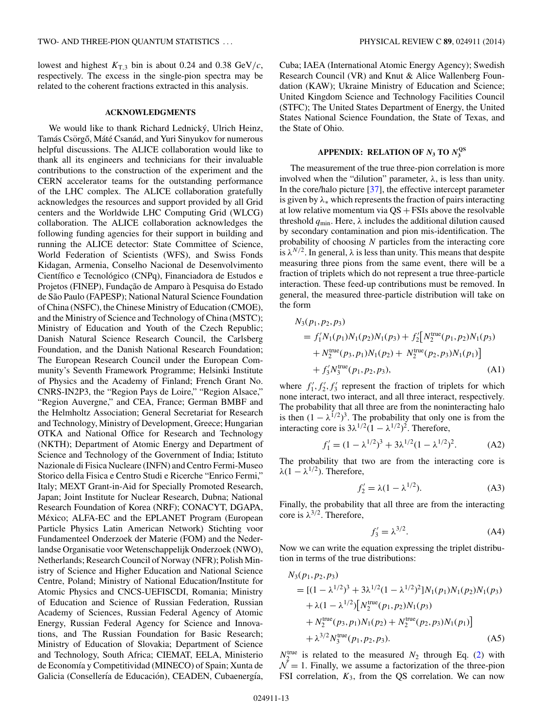lowest and highest  $K_{\text{T,3}}$  bin is about 0.24 and 0.38 GeV/c, respectively. The excess in the single-pion spectra may be related to the coherent fractions extracted in this analysis.

## **ACKNOWLEDGMENTS**

We would like to thank Richard Lednický, Ulrich Heinz, Tamás Csörgő, Máté Csanád, and Yuri Sinyukov for numerous helpful discussions. The ALICE collaboration would like to thank all its engineers and technicians for their invaluable contributions to the construction of the experiment and the CERN accelerator teams for the outstanding performance of the LHC complex. The ALICE collaboration gratefully acknowledges the resources and support provided by all Grid centers and the Worldwide LHC Computing Grid (WLCG) collaboration. The ALICE collaboration acknowledges the following funding agencies for their support in building and running the ALICE detector: State Committee of Science, World Federation of Scientists (WFS), and Swiss Fonds Kidagan, Armenia, Conselho Nacional de Desenvolvimento Científico e Tecnológico (CNPq), Financiadora de Estudos e Projetos (FINEP), Fundação de Amparo à Pesquisa do Estado de São Paulo (FAPESP); National Natural Science Foundation of China (NSFC), the Chinese Ministry of Education (CMOE), and the Ministry of Science and Technology of China (MSTC); Ministry of Education and Youth of the Czech Republic; Danish Natural Science Research Council, the Carlsberg Foundation, and the Danish National Research Foundation; The European Research Council under the European Community's Seventh Framework Programme; Helsinki Institute of Physics and the Academy of Finland; French Grant No. CNRS-IN2P3, the "Region Pays de Loire," "Region Alsace," "Region Auvergne," and CEA, France; German BMBF and the Helmholtz Association; General Secretariat for Research and Technology, Ministry of Development, Greece; Hungarian OTKA and National Office for Research and Technology (NKTH); Department of Atomic Energy and Department of Science and Technology of the Government of India; Istituto Nazionale di Fisica Nucleare (INFN) and Centro Fermi-Museo Storico della Fisica e Centro Studi e Ricerche "Enrico Fermi," Italy; MEXT Grant-in-Aid for Specially Promoted Research, Japan; Joint Institute for Nuclear Research, Dubna; National Research Foundation of Korea (NRF); CONACYT, DGAPA, México; ALFA-EC and the EPLANET Program (European Particle Physics Latin American Network) Stichting voor Fundamenteel Onderzoek der Materie (FOM) and the Nederlandse Organisatie voor Wetenschappelijk Onderzoek (NWO), Netherlands; Research Council of Norway (NFR); Polish Ministry of Science and Higher Education and National Science Centre, Poland; Ministry of National Education/Institute for Atomic Physics and CNCS-UEFISCDI, Romania; Ministry of Education and Science of Russian Federation, Russian Academy of Sciences, Russian Federal Agency of Atomic Energy, Russian Federal Agency for Science and Innovations, and The Russian Foundation for Basic Research; Ministry of Education of Slovakia; Department of Science and Technology, South Africa; CIEMAT, EELA, Ministerio de Economía y Competitividad (MINECO) of Spain; Xunta de Galicia (Consellería de Educación), CEADEN, Cubaenergía,

Cuba; IAEA (International Atomic Energy Agency); Swedish Research Council (VR) and Knut & Alice Wallenberg Foundation (KAW); Ukraine Ministry of Education and Science; United Kingdom Science and Technology Facilities Council (STFC); The United States Department of Energy, the United States National Science Foundation, the State of Texas, and the State of Ohio.

# **APPENDIX:** RELATION OF  $N_3$  TO  $N_3^{\text{QS}}$

The measurement of the true three-pion correlation is more involved when the "dilution" parameter,  $\lambda$ , is less than unity. In the core/halo picture [\[37\]](#page-13-0), the effective intercept parameter is given by  $\lambda_*$  which represents the fraction of pairs interacting at low relative momentum via  $QS + FSS$  above the resolvable threshold  $q_{min}$ . Here,  $\lambda$  includes the additional dilution caused by secondary contamination and pion mis-identification. The probability of choosing N particles from the interacting core is  $\lambda^{N/2}$ . In general,  $\lambda$  is less than unity. This means that despite measuring three pions from the same event, there will be a fraction of triplets which do not represent a true three-particle interaction. These feed-up contributions must be removed. In general, the measured three-particle distribution will take on the form

$$
N_3(p_1, p_2, p_3)
$$
  
=  $f'_1 N_1(p_1) N_1(p_2) N_1(p_3) + f'_2 [N_2^{\text{true}}(p_1, p_2) N_1(p_3)$   
+  $N_2^{\text{true}}(p_3, p_1) N_1(p_2) + N_2^{\text{true}}(p_2, p_3) N_1(p_1)]$   
+  $f'_3 N_3^{\text{true}}(p_1, p_2, p_3)$ , (A1)

where  $f'_1, f'_2, f'_3$  represent the fraction of triplets for which none interact, two interact, and all three interact, respectively. The probability that all three are from the noninteracting halo is then  $(1 - \lambda^{1/2})^3$ . The probability that only one is from the interacting core is  $3\lambda^{1/2} (1 - \lambda^{1/2})^2$ . Therefore,

$$
f_1' = (1 - \lambda^{1/2})^3 + 3\lambda^{1/2}(1 - \lambda^{1/2})^2.
$$
 (A2)

The probability that two are from the interacting core is  $\lambda(1 - \lambda^{1/2})$ . Therefore,

$$
f_2' = \lambda (1 - \lambda^{1/2}).
$$
 (A3)

Finally, the probability that all three are from the interacting core is  $\lambda^{3/2}$ . Therefore,

$$
f_3' = \lambda^{3/2}.\tag{A4}
$$

Now we can write the equation expressing the triplet distribution in terms of the true distributions:

$$
N_3(p_1, p_2, p_3)
$$
  
=  $[(1 - \lambda^{1/2})^3 + 3\lambda^{1/2}(1 - \lambda^{1/2})^2]N_1(p_1)N_1(p_2)N_1(p_3)$   
+  $\lambda(1 - \lambda^{1/2})[N_2^{\text{true}}(p_1, p_2)N_1(p_3)$   
+  $N_2^{\text{true}}(p_3, p_1)N_1(p_2) + N_2^{\text{true}}(p_2, p_3)N_1(p_1)]$   
+  $\lambda^{3/2}N_3^{\text{true}}(p_1, p_2, p_3).$  (A5)

 $N_2^{\text{true}}$  is related to the measured  $N_2$  through Eq. [\(2\)](#page-1-0) with  $\mathcal{N} = 1$ . Finally, we assume a factorization of the three-pion FSI correlation,  $K_3$ , from the QS correlation. We can now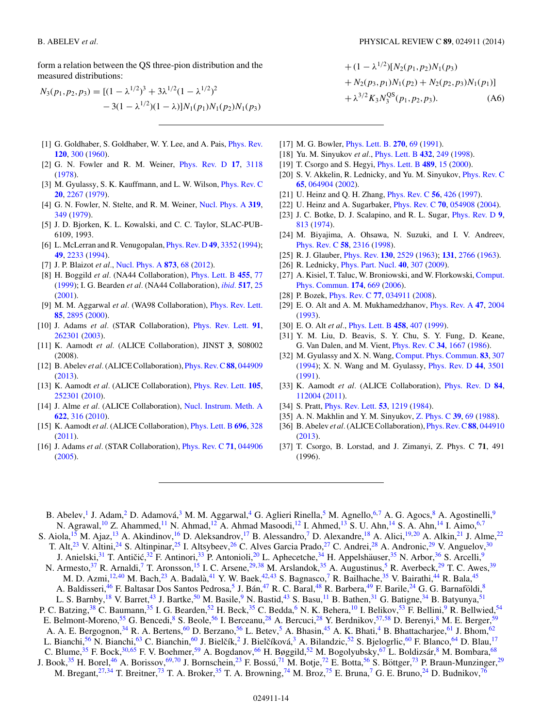<span id="page-13-0"></span>form a relation between the QS three-pion distribution and the measured distributions:

$$
N_3(p_1, p_2, p_3) = [(1 - \lambda^{1/2})^3 + 3\lambda^{1/2}(1 - \lambda^{1/2})^2 - 3(1 - \lambda^{1/2})(1 - \lambda)]N_1(p_1)N_1(p_2)N_1(p_3)
$$

- [1] G. Goldhaber, S. Goldhaber, W. Y. Lee, and A. Pais, *[Phys. Rev.](http://dx.doi.org/10.1103/PhysRev.120.300)* **[120](http://dx.doi.org/10.1103/PhysRev.120.300)**, [300](http://dx.doi.org/10.1103/PhysRev.120.300) [\(1960\)](http://dx.doi.org/10.1103/PhysRev.120.300).
- [2] G. N. Fowler and R. M. Weiner, [Phys. Rev. D](http://dx.doi.org/10.1103/PhysRevD.17.3118) **[17](http://dx.doi.org/10.1103/PhysRevD.17.3118)**, [3118](http://dx.doi.org/10.1103/PhysRevD.17.3118) [\(1978\)](http://dx.doi.org/10.1103/PhysRevD.17.3118).
- [3] M. Gyulassy, S. K. Kauffmann, and L. W. Wilson, *[Phys. Rev. C](http://dx.doi.org/10.1103/PhysRevC.20.2267)* **[20](http://dx.doi.org/10.1103/PhysRevC.20.2267)**, [2267](http://dx.doi.org/10.1103/PhysRevC.20.2267) [\(1979\)](http://dx.doi.org/10.1103/PhysRevC.20.2267).
- [4] G. N. Fowler, N. Stelte, and R. M. Weiner, [Nucl. Phys. A](http://dx.doi.org/10.1016/0375-9474(79)90519-0) **[319](http://dx.doi.org/10.1016/0375-9474(79)90519-0)**, [349](http://dx.doi.org/10.1016/0375-9474(79)90519-0) [\(1979\)](http://dx.doi.org/10.1016/0375-9474(79)90519-0).
- [5] J. D. Bjorken, K. L. Kowalski, and C. C. Taylor, SLAC-PUB-6109, 1993.
- [6] L. McLerran and R. Venugopalan, [Phys. Rev. D](http://dx.doi.org/10.1103/PhysRevD.49.3352) **[49](http://dx.doi.org/10.1103/PhysRevD.49.3352)**, [3352](http://dx.doi.org/10.1103/PhysRevD.49.3352) [\(1994\)](http://dx.doi.org/10.1103/PhysRevD.49.3352); ,**[49](http://dx.doi.org/10.1103/PhysRevD.49.2233)**, [2233](http://dx.doi.org/10.1103/PhysRevD.49.2233) [\(1994\)](http://dx.doi.org/10.1103/PhysRevD.49.2233).
- [7] J. P. Blaizot *et al.*, [Nucl. Phys. A](http://dx.doi.org/10.1016/j.nuclphysa.2011.10.005) **[873](http://dx.doi.org/10.1016/j.nuclphysa.2011.10.005)**, [68](http://dx.doi.org/10.1016/j.nuclphysa.2011.10.005) [\(2012\)](http://dx.doi.org/10.1016/j.nuclphysa.2011.10.005).
- [8] H. Boggild *et al.* (NA44 Collaboration), [Phys. Lett. B](http://dx.doi.org/10.1016/S0370-2693(99)00402-5) **[455](http://dx.doi.org/10.1016/S0370-2693(99)00402-5)**, [77](http://dx.doi.org/10.1016/S0370-2693(99)00402-5) [\(1999\)](http://dx.doi.org/10.1016/S0370-2693(99)00402-5); I. G. Bearden *et al.* (NA44 Collaboration), *[ibid.](http://dx.doi.org/10.1016/S0370-2693(01)00978-9)* **[517](http://dx.doi.org/10.1016/S0370-2693(01)00978-9)**, [25](http://dx.doi.org/10.1016/S0370-2693(01)00978-9) [\(2001\)](http://dx.doi.org/10.1016/S0370-2693(01)00978-9).
- [9] M. M. Aggarwal *et al.* (WA98 Collaboration), [Phys. Rev. Lett.](http://dx.doi.org/10.1103/PhysRevLett.85.2895) **[85](http://dx.doi.org/10.1103/PhysRevLett.85.2895)**, [2895](http://dx.doi.org/10.1103/PhysRevLett.85.2895) [\(2000\)](http://dx.doi.org/10.1103/PhysRevLett.85.2895).
- [10] J. Adams *et al.* (STAR Collaboration), [Phys. Rev. Lett.](http://dx.doi.org/10.1103/PhysRevLett.91.262301) **[91](http://dx.doi.org/10.1103/PhysRevLett.91.262301)**, [262301](http://dx.doi.org/10.1103/PhysRevLett.91.262301) [\(2003\)](http://dx.doi.org/10.1103/PhysRevLett.91.262301).
- [11] K. Aamodt *et al.* (ALICE Collaboration), JINST **3**, S08002 (2008).
- [12] B. Abelev *et al.*(ALICE Collaboration), [Phys. Rev. C](http://dx.doi.org/10.1103/PhysRevC.88.044909)**[88](http://dx.doi.org/10.1103/PhysRevC.88.044909)**, [044909](http://dx.doi.org/10.1103/PhysRevC.88.044909) [\(2013\)](http://dx.doi.org/10.1103/PhysRevC.88.044909).
- [13] K. Aamodt *et al.* (ALICE Collaboration), [Phys. Rev. Lett.](http://dx.doi.org/10.1103/PhysRevLett.105.252301) **[105](http://dx.doi.org/10.1103/PhysRevLett.105.252301)**, [252301](http://dx.doi.org/10.1103/PhysRevLett.105.252301) [\(2010\)](http://dx.doi.org/10.1103/PhysRevLett.105.252301).
- [14] J. Alme et al. (ALICE Collaboration), [Nucl. Instrum. Meth. A](http://dx.doi.org/10.1016/j.nima.2010.04.042) **[622](http://dx.doi.org/10.1016/j.nima.2010.04.042)**, [316](http://dx.doi.org/10.1016/j.nima.2010.04.042) [\(2010\)](http://dx.doi.org/10.1016/j.nima.2010.04.042).
- [15] K. Aamodt *et al.* (ALICE Collaboration), [Phys. Lett. B](http://dx.doi.org/10.1016/j.physletb.2010.12.053) **[696](http://dx.doi.org/10.1016/j.physletb.2010.12.053)**, [328](http://dx.doi.org/10.1016/j.physletb.2010.12.053) [\(2011\)](http://dx.doi.org/10.1016/j.physletb.2010.12.053).
- [16] J. Adams *et al.* (STAR Collaboration), [Phys. Rev. C](http://dx.doi.org/10.1103/PhysRevC.71.044906) **[71](http://dx.doi.org/10.1103/PhysRevC.71.044906)**, [044906](http://dx.doi.org/10.1103/PhysRevC.71.044906) [\(2005\)](http://dx.doi.org/10.1103/PhysRevC.71.044906).

+
$$
(1 - \lambda^{1/2})[N_2(p_1, p_2)N_1(p_3)
$$
  
+ $N_2(p_3, p_1)N_1(p_2) + N_2(p_2, p_3)N_1(p_1)]$   
+ $\lambda^{3/2} K_3 N_3^{OS}(p_1, p_2, p_3).$  (A6)

- [17] M. G. Bowler, [Phys. Lett. B.](http://dx.doi.org/10.1016/0370-2693(91)91541-3) **[270](http://dx.doi.org/10.1016/0370-2693(91)91541-3)**, [69](http://dx.doi.org/10.1016/0370-2693(91)91541-3) [\(1991\)](http://dx.doi.org/10.1016/0370-2693(91)91541-3).
- [18] Yu. M. Sinyukov *et al.*, [Phys. Lett. B](http://dx.doi.org/10.1016/S0370-2693(98)00653-4) **[432](http://dx.doi.org/10.1016/S0370-2693(98)00653-4)**, [249](http://dx.doi.org/10.1016/S0370-2693(98)00653-4) [\(1998\)](http://dx.doi.org/10.1016/S0370-2693(98)00653-4).
- [19] T. Csorgo and S. Hegyi, [Phys. Lett. B](http://dx.doi.org/10.1016/S0370-2693(00)00935-7) **[489](http://dx.doi.org/10.1016/S0370-2693(00)00935-7)**, [15](http://dx.doi.org/10.1016/S0370-2693(00)00935-7) [\(2000\)](http://dx.doi.org/10.1016/S0370-2693(00)00935-7).
- [20] S. V. Akkelin, R. Lednicky, and Yu. M. Sinyukov, *[Phys. Rev. C](http://dx.doi.org/10.1103/PhysRevC.65.064904)* **[65](http://dx.doi.org/10.1103/PhysRevC.65.064904)**, [064904](http://dx.doi.org/10.1103/PhysRevC.65.064904) [\(2002\)](http://dx.doi.org/10.1103/PhysRevC.65.064904).
- [21] U. Heinz and Q. H. Zhang, [Phys. Rev. C](http://dx.doi.org/10.1103/PhysRevC.56.426) **[56](http://dx.doi.org/10.1103/PhysRevC.56.426)**, [426](http://dx.doi.org/10.1103/PhysRevC.56.426) [\(1997\)](http://dx.doi.org/10.1103/PhysRevC.56.426).
- [22] U. Heinz and A. Sugarbaker, [Phys. Rev. C](http://dx.doi.org/10.1103/PhysRevC.70.054908) **[70](http://dx.doi.org/10.1103/PhysRevC.70.054908)**, [054908](http://dx.doi.org/10.1103/PhysRevC.70.054908) [\(2004\)](http://dx.doi.org/10.1103/PhysRevC.70.054908).
- [23] J. C. Botke, D. J. Scalapino, and R. L. Sugar, [Phys. Rev. D](http://dx.doi.org/10.1103/PhysRevD.9.813) **[9](http://dx.doi.org/10.1103/PhysRevD.9.813)**, [813](http://dx.doi.org/10.1103/PhysRevD.9.813) [\(1974\)](http://dx.doi.org/10.1103/PhysRevD.9.813).
- [24] M. Biyajima, A. Ohsawa, N. Suzuki, and I. V. Andreev, [Phys. Rev. C](http://dx.doi.org/10.1103/PhysRevC.58.2316) **[58](http://dx.doi.org/10.1103/PhysRevC.58.2316)**, [2316](http://dx.doi.org/10.1103/PhysRevC.58.2316) [\(1998\)](http://dx.doi.org/10.1103/PhysRevC.58.2316).
- [25] R. J. Glauber, *[Phys. Rev.](http://dx.doi.org/10.1103/PhysRev.130.2529)* [130](http://dx.doi.org/10.1103/PhysRev.130.2529), [2529](http://dx.doi.org/10.1103/PhysRev.130.2529) [\(1963\)](http://dx.doi.org/10.1103/PhysRev.131.2766); [131](http://dx.doi.org/10.1103/PhysRev.131.2766), [2766](http://dx.doi.org/10.1103/PhysRev.131.2766) (1963).
- [26] R. Lednicky, [Phys. Part. Nucl.](http://dx.doi.org/10.1134/S1063779609030034) **[40](http://dx.doi.org/10.1134/S1063779609030034)**, [307](http://dx.doi.org/10.1134/S1063779609030034) [\(2009\)](http://dx.doi.org/10.1134/S1063779609030034).
- [27] [A. Kisiel, T. Taluc, W. Broniowski, and W. Florkowski,](http://dx.doi.org/10.1016/j.cpc.2005.11.010) Comput. Phys. Commun. **[174](http://dx.doi.org/10.1016/j.cpc.2005.11.010)**, [669](http://dx.doi.org/10.1016/j.cpc.2005.11.010) [\(2006\)](http://dx.doi.org/10.1016/j.cpc.2005.11.010).
- [28] P. Bozek, [Phys. Rev. C](http://dx.doi.org/10.1103/PhysRevC.77.034911) **[77](http://dx.doi.org/10.1103/PhysRevC.77.034911)**, [034911](http://dx.doi.org/10.1103/PhysRevC.77.034911) [\(2008\)](http://dx.doi.org/10.1103/PhysRevC.77.034911).
- [29] E. O. Alt and A. M. Mukhamedzhanov, [Phys. Rev. A](http://dx.doi.org/10.1103/PhysRevA.47.2004) **[47](http://dx.doi.org/10.1103/PhysRevA.47.2004)**, [2004](http://dx.doi.org/10.1103/PhysRevA.47.2004) [\(1993\)](http://dx.doi.org/10.1103/PhysRevA.47.2004).
- [30] E. O. Alt *et al.*, [Phys. Lett. B](http://dx.doi.org/10.1016/S0370-2693(99)00588-2) **[458](http://dx.doi.org/10.1016/S0370-2693(99)00588-2)**, [407](http://dx.doi.org/10.1016/S0370-2693(99)00588-2) [\(1999\)](http://dx.doi.org/10.1016/S0370-2693(99)00588-2).
- [31] Y. M. Liu, D. Beavis, S. Y. Chu, S. Y. Fung, D. Keane, G. Van Dalen, and M. Vient, [Phys. Rev. C](http://dx.doi.org/10.1103/PhysRevC.34.1667) **[34](http://dx.doi.org/10.1103/PhysRevC.34.1667)**, [1667](http://dx.doi.org/10.1103/PhysRevC.34.1667) [\(1986\)](http://dx.doi.org/10.1103/PhysRevC.34.1667).
- [32] M. Gyulassy and X. N. Wang, [Comput. Phys. Commun.](http://dx.doi.org/10.1016/0010-4655(94)90057-4) **[83](http://dx.doi.org/10.1016/0010-4655(94)90057-4)**, [307](http://dx.doi.org/10.1016/0010-4655(94)90057-4) [\(1994\)](http://dx.doi.org/10.1016/0010-4655(94)90057-4); X. N. Wang and M. Gyulassy, [Phys. Rev. D](http://dx.doi.org/10.1103/PhysRevD.44.3501) **[44](http://dx.doi.org/10.1103/PhysRevD.44.3501)**, [3501](http://dx.doi.org/10.1103/PhysRevD.44.3501) [\(1991\)](http://dx.doi.org/10.1103/PhysRevD.44.3501).
- [33] K. Aamodt *et al.* (ALICE Collaboration), [Phys. Rev. D](http://dx.doi.org/10.1103/PhysRevD.84.112004) **[84](http://dx.doi.org/10.1103/PhysRevD.84.112004)**, [112004](http://dx.doi.org/10.1103/PhysRevD.84.112004) [\(2011\)](http://dx.doi.org/10.1103/PhysRevD.84.112004).
- [34] S. Pratt, [Phys. Rev. Lett.](http://dx.doi.org/10.1103/PhysRevLett.53.1219) **[53](http://dx.doi.org/10.1103/PhysRevLett.53.1219)**, [1219](http://dx.doi.org/10.1103/PhysRevLett.53.1219) [\(1984\)](http://dx.doi.org/10.1103/PhysRevLett.53.1219).
- [35] A. N. Makhlin and Y. M. Sinyukov, [Z. Phys. C](http://dx.doi.org/10.1007/BF01560393) **[39](http://dx.doi.org/10.1007/BF01560393)**, [69](http://dx.doi.org/10.1007/BF01560393) [\(1988\)](http://dx.doi.org/10.1007/BF01560393).
- [36] B. Abelev *et al.*(ALICE Collaboration), [Phys. Rev. C](http://dx.doi.org/10.1103/PhysRevC.88.044910)**[88](http://dx.doi.org/10.1103/PhysRevC.88.044910)**, [044910](http://dx.doi.org/10.1103/PhysRevC.88.044910) [\(2013\)](http://dx.doi.org/10.1103/PhysRevC.88.044910).
- [37] T. Csorgo, B. Lorstad, and J. Zimanyi, Z. Phys. C **71**, 491 (1996).

B. Abelev,<sup>1</sup> J. Adam,<sup>2</sup> D. Adamová,<sup>[3](#page-15-0)</sup> M. M. Aggarwal,<sup>[4](#page-15-0)</sup> G. Aglieri Rinella,<sup>[5](#page-15-0)</sup> M. Agnello,<sup>[6,7](#page-15-0)</sup> A. G. Agocs,<sup>[8](#page-15-0)</sup> A. Agostinelli,<sup>9</sup> N. Agrawal,<sup>10</sup> Z. Ahammed,<sup>11</sup> N. Ahmad,<sup>[12](#page-16-0)</sup> A. Ahmad Masoodi,<sup>12</sup> I. Ahmed,<sup>[13](#page-16-0)</sup> S. U. Ahn,<sup>14</sup> S. A. Ahn,<sup>14</sup> I. Aimo,<sup>6,7</sup> S. Aiola,<sup>[15](#page-16-0)</sup> M. Ajaz,<sup>[13](#page-16-0)</sup> A. Akindinov,<sup>[16](#page-16-0)</sup> D. Aleksandrov,<sup>[17](#page-16-0)</sup> B. Alessandro,<sup>7</sup> D. Alexandre,<sup>[18](#page-16-0)</sup> A. Alici,<sup>[19,20](#page-16-0)</sup> A. Alkin,<sup>[21](#page-16-0)</sup> J. Alme,<sup>22</sup>

- T. Alt,<sup>[23](#page-16-0)</sup> V. Altini,<sup>24</sup> S. Altinpinar,<sup>[25](#page-16-0)</sup> I. Altsybeev,<sup>[26](#page-16-0)</sup> C. Alves Garcia Prado,<sup>[27](#page-16-0)</sup> C. Andrei,<sup>[28](#page-16-0)</sup> A. Andronic,<sup>[29](#page-16-0)</sup> V. Anguelov,<sup>[30](#page-16-0)</sup> J. Anielski,<sup>[31](#page-16-0)</sup> T. Antičić,<sup>[32](#page-16-0)</sup> F. Antinori,<sup>33</sup> P. Antonioli,<sup>[20](#page-16-0)</sup> L. Aphecetche,<sup>34</sup> H. Appelshäuser,<sup>[35](#page-16-0)</sup> N. Arbor,<sup>[36](#page-16-0)</sup> S. Arcelli,<sup>[9](#page-15-0)</sup>
- N. Armesto,<sup>[37](#page-16-0)</sup> R. Arnaldi,<sup>[7](#page-15-0)</sup> T. Aronsson,<sup>[15](#page-16-0)</sup> I. C. Arsene,<sup>[29,38](#page-16-0)</sup> M. Arslandok,<sup>[35](#page-16-0)</sup> A. Augustinus,<sup>5</sup> R. Averbeck,<sup>[29](#page-16-0)</sup> T. C. Awes,<sup>[39](#page-16-0)</sup> M. D. Azmi, <sup>12, 40</sup> M. Bach, <sup>[23](#page-16-0)</sup> A. Badalà, <sup>[41](#page-16-0)</sup> Y. W. Baek, <sup>42, 43</sup> S. Bagnasco,<sup>7</sup> R. Bailhache, <sup>[35](#page-16-0)</sup> V. Bairathi, <sup>[44](#page-16-0)</sup> R. Bala, <sup>[45](#page-16-0)</sup>

- A. Baldisseri,<sup>[46](#page-16-0)</sup> F. Baltasar Dos Santos Pedrosa,<sup>5</sup> J. Bán,<sup>[47](#page-16-0)</sup> R. C. Baral,<sup>[48](#page-16-0)</sup> R. Barbera,<sup>[49](#page-16-0)</sup> F. Barile,<sup>[24](#page-16-0)</sup> G. G. Barnaföldi,<sup>[8](#page-15-0)</sup> L. S. Barnby,<sup>[18](#page-16-0)</sup> V. Barret,<sup>[43](#page-16-0)</sup> J. Bartke,<sup>50</sup> M. Basile,<sup>[9](#page-15-0)</sup> N. Bastid,<sup>43</sup> S. Basu,<sup>[11](#page-16-0)</sup> B. Bathen,<sup>[31](#page-16-0)</sup> G. Batigne,<sup>[34](#page-16-0)</sup> B. Batyunya,<sup>[51](#page-16-0)</sup>
- P. C. Batzing,<sup>[38](#page-16-0)</sup> C. Baumann,<sup>[35](#page-16-0)</sup> I. G. Bearden,<sup>52</sup> H. Beck,<sup>35</sup> C. Bedda,<sup>[6](#page-15-0)</sup> N. K. Behera,<sup>[10](#page-16-0)</sup> I. Belikov,<sup>53</sup> F. Bellini,<sup>9</sup> R. Bellwied,<sup>[54](#page-16-0)</sup>
- E. Belmont-Moreno,<sup>[55](#page-16-0)</sup> G. Bencedi, <sup>[8](#page-15-0)</sup> S. Beole, <sup>[56](#page-16-0)</sup> I. Berceanu, <sup>[28](#page-16-0)</sup> A. Bercuci, <sup>28</sup> Y. Berdnikov, <sup>[57,58](#page-16-0)</sup> D. Berenyi, <sup>8</sup> M. E. Berger, <sup>59</sup>
- A. A. E. Bergognon,<sup>34</sup> R. A. Bertens,<sup>60</sup> D. Berzano,<sup>[56](#page-16-0)</sup> L. Betev,<sup>5</sup> A. Bhasin,<sup>[45](#page-16-0)</sup> A. K. Bhati,<sup>4</sup> B. Bhattacharjee,<sup>61</sup> J. Bhom,<sup>62</sup>
- L. Bianchi,<sup>56</sup> N. Bianchi,<sup>[63](#page-16-0)</sup> C. Bianchin,<sup>[60](#page-16-0)</sup> J. Bielčík,<sup>[2](#page-15-0)</sup> J. Bielčíková,<sup>[3](#page-15-0)</sup> A. Bilandzic,<sup>[52](#page-16-0)</sup> S. Bjelogrlic,<sup>60</sup> F. Blanco,<sup>[64](#page-16-0)</sup> D. Blau,<sup>[17](#page-16-0)</sup>
- C. Blume, <sup>[35](#page-16-0)</sup> F. Bock, <sup>[30,65](#page-16-0)</sup> F. V. Boehmer, <sup>[59](#page-16-0)</sup> A. Bogdanov, <sup>[66](#page-17-0)</sup> H. Bøggild, <sup>[52](#page-16-0)</sup> M. Bogolyubsky, <sup>67</sup> L. Boldizsár, <sup>[8](#page-15-0)</sup> M. Bombara, <sup>68</sup>
- J. Book,<sup>35</sup> H. Borel,<sup>[46](#page-16-0)</sup> A. Borissov,<sup>[69,70](#page-17-0)</sup> J. Bornschein,<sup>23</sup> F. Bossú,<sup>[71](#page-17-0)</sup> M. Botje,<sup>[72](#page-17-0)</sup> E. Botta,<sup>[56](#page-16-0)</sup> S. Böttger,<sup>[73](#page-17-0)</sup> P. Braun-Munzinger,<sup>[29](#page-16-0)</sup>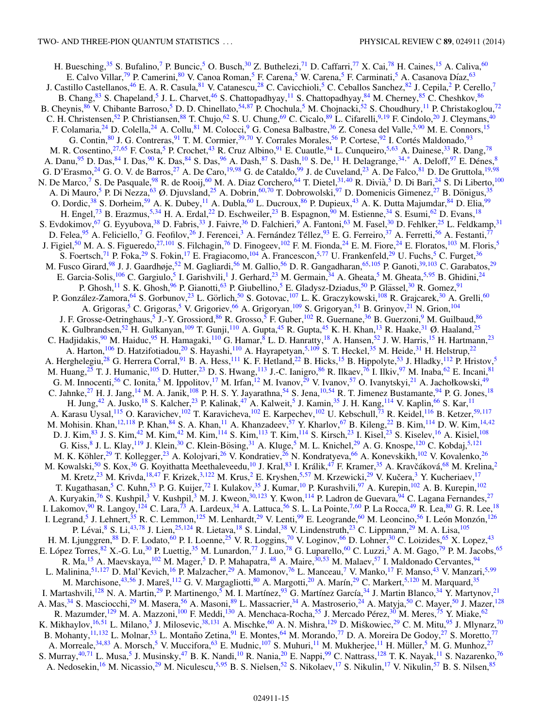H. Buesching,<sup>35</sup> S. Bufalino,<sup>[7](#page-15-0)</sup> P. Buncic,<sup>[5](#page-15-0)</sup> O. Busch,<sup>30</sup> Z. Buthelezi,<sup>[71](#page-17-0)</sup> D. Caffarri,<sup>[77](#page-17-0)</sup> X. Cai,<sup>78</sup> H. Caines,<sup>[15](#page-16-0)</sup> A. Caliva,<sup>60</sup> E. Calvo Villar,<sup>79</sup> P. Camerini,<sup>[80](#page-17-0)</sup> V. Canoa Roman,<sup>[5](#page-15-0)</sup> F. Carena,<sup>5</sup> W. Carena,<sup>5</sup> F. Carminati,<sup>5</sup> A. Casanova Díaz,<sup>[63](#page-16-0)</sup> J. Castillo Castellanos, <sup>[46](#page-16-0)</sup> E. A. R. Casula, <sup>[81](#page-17-0)</sup> V. Catanescu, <sup>[28](#page-16-0)</sup> C. Cavicchioli, <sup>[5](#page-15-0)</sup> C. Ceballos Sanchez, <sup>82</sup> J. Cepila, <sup>2</sup> P. Cerello,<sup>[7](#page-15-0)</sup> B. Chang, <sup>[83](#page-17-0)</sup> S. Chapeland,<sup>5</sup> J. L. Charvet, <sup>46</sup> S. Chattopadhyay, <sup>11</sup> S. Chattopadhyay, <sup>84</sup> M. Cherney, <sup>[85](#page-17-0)</sup> C. Cheshkov, <sup>[86](#page-17-0)</sup> B. Cheynis, <sup>86</sup> V. Chibante Barroso,<sup>5</sup> D. D. Chinellato, <sup>[54,](#page-16-0)[87](#page-17-0)</sup> P. Chochula, 5 M. Chojnacki, <sup>52</sup> S. Choudhury, <sup>11</sup> P. Christakoglou, <sup>[72](#page-17-0)</sup> C. H. Christensen,<sup>[52](#page-16-0)</sup> P. Christiansen,<sup>[88](#page-17-0)</sup> T. Chujo,<sup>[62](#page-16-0)</sup> S. U. Chung,<sup>[69](#page-17-0)</sup> C. Cicalo,<sup>[89](#page-17-0)</sup> L. Cifarelli,<sup>[9,](#page-15-0)[19](#page-16-0)</sup> F. Cindolo,<sup>[20](#page-16-0)</sup> J. Cleymans,<sup>40</sup> F. Colamaria,<sup>[24](#page-16-0)</sup> D. Colella,<sup>24</sup> A. Collu,<sup>[81](#page-17-0)</sup> M. Colocci,<sup>[9](#page-15-0)</sup> G. Conesa Balbastre,<sup>36</sup> Z. Conesa del Valle,<sup>5,[90](#page-17-0)</sup> M. E. Connors,<sup>15</sup> G. Contin, <sup>[80](#page-17-0)</sup> J. G. Contreras, <sup>91</sup> T. M. Cormier, <sup>[39](#page-16-0)[,70](#page-17-0)</sup> Y. Corrales Morales, <sup>[56](#page-16-0)</sup> P. Cortese, <sup>[92](#page-17-0)</sup> I. Cortés Maldonado, <sup>[93](#page-17-0)</sup> M. R. Cosentino,<sup>[27,65](#page-16-0)</sup> F. Costa,<sup>[5](#page-15-0)</sup> P. Crochet,<sup>[43](#page-16-0)</sup> R. Cruz Albino,<sup>[91](#page-17-0)</sup> E. Cuautle,<sup>94</sup> L. Cunqueiro,<sup>5,[63](#page-16-0)</sup> A. Dainese,<sup>[33](#page-16-0)</sup> R. Dang,<sup>78</sup> A. Danu,<sup>[95](#page-17-0)</sup> D. Das,<sup>84</sup> I. Das,<sup>90</sup> K. Das,<sup>84</sup> S. Das,<sup>96</sup> A. Dash,<sup>[87](#page-17-0)</sup> S. Dash,<sup>[10](#page-16-0)</sup> S. De,<sup>[11](#page-16-0)</sup> H. Delagrange,<sup>[34,](#page-16-0)[\\*](#page-0-0)</sup> A. Deloff,<sup>[97](#page-17-0)</sup> E. Dénes,<sup>[8](#page-15-0)</sup> G. D'Erasmo,<sup>[24](#page-16-0)</sup> G. O. V. de Barros,<sup>[27](#page-16-0)</sup> A. De Caro,<sup>[19,](#page-16-0)[98](#page-17-0)</sup> G. de Cataldo,<sup>[99](#page-17-0)</sup> J. de Cuveland,<sup>23</sup> A. De Falco,<sup>[81](#page-17-0)</sup> D. De Gruttola,<sup>19,98</sup> N. De Marco,<sup>[7](#page-15-0)</sup> S. De Pasquale,<sup>[98](#page-17-0)</sup> R. de Rooij,<sup>[60](#page-16-0)</sup> M. A. Diaz Corchero,<sup>[64](#page-16-0)</sup> T. Dietel,<sup>[31,40](#page-16-0)</sup> R. Divià,<sup>[5](#page-15-0)</sup> D. Di Bari,<sup>[24](#page-16-0)</sup> S. Di Liberto,<sup>[100](#page-17-0)</sup> A. Di Mauro,<sup>[5](#page-15-0)</sup> P. Di Nezza,<sup>63</sup> Ø. Djuvsland,<sup>[25](#page-16-0)</sup> A. Dobrin,<sup>[60,](#page-16-0)[70](#page-17-0)</sup> T. Dobrowolski,<sup>97</sup> D. Domenicis Gimenez,<sup>27</sup> B. Dönigus,<sup>[35](#page-16-0)</sup> O. Dordic,<sup>[38](#page-16-0)</sup> S. Dorheim,<sup>[59](#page-16-0)</sup> A. K. Dubey,<sup>[11](#page-16-0)</sup> A. Dubla,<sup>[60](#page-16-0)</sup> L. Ducroux,<sup>[86](#page-17-0)</sup> P. Dupieux,<sup>[43](#page-16-0)</sup> A. K. Dutta Majumdar,<sup>84</sup> D. Elia,<sup>[99](#page-17-0)</sup> H. Engel,<sup>73</sup> B. Erazmus,<sup>[5,](#page-15-0)[34](#page-16-0)</sup> H. A. Erdal,<sup>22</sup> D. Eschweiler,<sup>[23](#page-16-0)</sup> B. Espagnon,<sup>[90](#page-17-0)</sup> M. Estienne,<sup>34</sup> S. Esumi,<sup>[62](#page-16-0)</sup> D. Evans,<sup>[18](#page-16-0)</sup> S. Evdokimov, <sup>[67](#page-17-0)</sup> G. Eyyubova, <sup>38</sup> D. Fabris, <sup>[33](#page-16-0)</sup> J. Faivre, <sup>36</sup> D. Falchieri, <sup>[9](#page-15-0)</sup> A. Fantoni, <sup>[63](#page-16-0)</sup> M. Fasel, <sup>[30](#page-16-0)</sup> D. Fehlker, <sup>25</sup> L. Feldkamp, <sup>[31](#page-16-0)</sup> D. Felea, <sup>[95](#page-17-0)</sup> A. Feliciello,<sup>[7](#page-15-0)</sup> G. Feofilov, <sup>[26](#page-16-0)</sup> J. Ferencei, <sup>3</sup> A. Fernández Téllez, <sup>[93](#page-17-0)</sup> E. G. Ferreiro, <sup>[37](#page-16-0)</sup> A. Ferretti, <sup>[56](#page-16-0)</sup> A. Festanti, <sup>[77](#page-17-0)</sup> J. Figiel,<sup>50</sup> M. A. S. Figueredo,<sup>[27,](#page-16-0)[101](#page-17-0)</sup> S. Filchagin,<sup>[76](#page-17-0)</sup> D. Finogeev,<sup>[102](#page-17-0)</sup> F. M. Fionda,<sup>[24](#page-16-0)</sup> E. M. Fiore,<sup>24</sup> E. Floratos,<sup>[103](#page-17-0)</sup> M. Floris,<sup>[5](#page-15-0)</sup> S. Foertsch,<sup>[71](#page-17-0)</sup> P. Foka,<sup>[29](#page-16-0)</sup> S. Fokin,<sup>[17](#page-16-0)</sup> E. Fragiacomo,<sup>[104](#page-17-0)</sup> A. Francescon,<sup>[5,](#page-15-0)[77](#page-17-0)</sup> U. Frankenfeld,<sup>29</sup> U. Fuchs,<sup>5</sup> C. Furget,<sup>[36](#page-16-0)</sup> M. Fusco Girard,<sup>[98](#page-17-0)</sup> J. J. Gaardhøje,<sup>52</sup> M. Gagliardi,<sup>[56](#page-16-0)</sup> M. Gallio,<sup>56</sup> D. R. Gangadharan,<sup>65,[105](#page-17-0)</sup> P. Ganoti,<sup>39,[103](#page-17-0)</sup> C. Garabatos,<sup>[29](#page-16-0)</sup> E. Garcia-Solis,<sup>[106](#page-17-0)</sup> C. Gargiulo,<sup>[5](#page-15-0)</sup> I. Garishvili,<sup>1</sup> J. Gerhard,<sup>[23](#page-16-0)</sup> M. Germain,<sup>[34](#page-16-0)</sup> A. Gheata,<sup>5</sup> M. Gheata,<sup>5[,95](#page-17-0)</sup> B. Ghidini,<sup>24</sup> P. Ghosh,<sup>[11](#page-16-0)</sup> S. K. Ghosh,<sup>[96](#page-17-0)</sup> P. Gianotti,<sup>63</sup> P. Giubellino,<sup>[5](#page-15-0)</sup> E. Gladysz-Dziadus,<sup>[50](#page-16-0)</sup> P. Glässel,<sup>[30](#page-16-0)</sup> R. Gomez,<sup>91</sup> P. González-Zamora,<sup>[64](#page-16-0)</sup> S. Gorbunov,<sup>[23](#page-16-0)</sup> L. Görlich,<sup>[50](#page-16-0)</sup> S. Gotovac,<sup>107</sup> L. K. Graczykowski,<sup>[108](#page-17-0)</sup> R. Grajcarek,<sup>[30](#page-16-0)</sup> A. Grelli,<sup>[60](#page-16-0)</sup> A. Grigoras,<sup>[5](#page-15-0)</sup> C. Grigoras,<sup>5</sup> V. Grigoriev,<sup>[66](#page-17-0)</sup> A. Grigoryan,<sup>[109](#page-17-0)</sup> S. Grigoryan,<sup>[51](#page-16-0)</sup> B. Grinyov,<sup>[21](#page-16-0)</sup> N. Grion,<sup>[104](#page-17-0)</sup> J. F. Grosse-Oetringhaus,<sup>5</sup> J.-Y. Grossiord,<sup>[86](#page-17-0)</sup> R. Grosso,<sup>[5](#page-15-0)</sup> F. Guber,<sup>[102](#page-17-0)</sup> R. Guernane,<sup>[36](#page-16-0)</sup> B. Guerzoni,<sup>9</sup> M. Guilbaud,<sup>86</sup> K. Gulbrandsen,<sup>[52](#page-16-0)</sup> H. Gulkanyan,<sup>[109](#page-17-0)</sup> T. Gunji,<sup>[110](#page-17-0)</sup> A. Gupta,<sup>[45](#page-16-0)</sup> R. Gupta,<sup>45</sup> K. H. Khan,<sup>[13](#page-16-0)</sup> R. Haake,<sup>[31](#page-16-0)</sup> Ø. Haaland,<sup>[25](#page-16-0)</sup> C. Hadjidakis,<sup>90</sup> M. Haiduc,<sup>95</sup> H. Hamagaki,<sup>110</sup> G. Hamar,<sup>8</sup> L. D. Hanratty,<sup>[18](#page-16-0)</sup> A. Hansen,<sup>52</sup> J. W. Harris,<sup>15</sup> H. Hartmann,<sup>[23](#page-16-0)</sup> A. Harton, <sup>[106](#page-17-0)</sup> D. Hatzifotiadou, <sup>[20](#page-16-0)</sup> S. Hayashi, <sup>[110](#page-17-0)</sup> A. Hayrapetyan, <sup>[5,](#page-15-0) [109](#page-17-0)</sup> S. T. Heckel, <sup>[35](#page-16-0)</sup> M. Heide, <sup>[31](#page-16-0)</sup> H. Helstrup, <sup>[22](#page-16-0)</sup> A. Herghelegiu,<sup>28</sup> G. Herrera Corral,<sup>[91](#page-17-0)</sup> B. A. Hess,<sup>111</sup> K. F. Hetland,<sup>[22](#page-16-0)</sup> B. Hicks,<sup>[15](#page-16-0)</sup> B. Hippolyte,<sup>[53](#page-16-0)</sup> J. Hladky,<sup>112</sup> P. Hristov,<sup>[5](#page-15-0)</sup> M. Ilkang,<sup>25</sup> T. J. Humanic,<sup>105</sup> D. Hutter,<sup>23</sup> D. S. Hwang,<sup>113</sup> J.-C. Ianig M. Huang,<sup>25</sup> T. J. Humanic,<sup>105</sup> D. Hutter,<sup>23</sup> D. S. Hwang,<sup>113</sup> J.-C. Ianigro,<sup>[86](#page-17-0)</sup> R. Ilkaev,<sup>[76](#page-17-0)</sup> I. Ilkiv,<sup>[97](#page-17-0)</sup> M. Inaba,<sup>62</sup> E. Incani,<sup>[81](#page-17-0)</sup> G. M. Innocenti,<sup>[56](#page-16-0)</sup> C. Ionita,<sup>[5](#page-15-0)</sup> M. Ippolitov,<sup>[17](#page-16-0)</sup> M. Irfan,<sup>[12](#page-16-0)</sup> M. Ivanov,<sup>[29](#page-16-0)</sup> V. Ivanov,<sup>[57](#page-16-0)</sup> O. Ivanytskyi,<sup>21</sup> A. Jachołkowski,<sup>49</sup> C. Jahnke,  $^{27}$  $^{27}$  $^{27}$  H. J. Jang,  $^{14}$  M. A. Janik,  $^{108}$  $^{108}$  $^{108}$  P. H. S. Y. Jayarathna,  $^{54}$  S. Jena,  $^{10,54}$  $^{10,54}$  $^{10,54}$  R. T. Jimenez Bustamante,  $^{94}$  $^{94}$  $^{94}$  P. G. Jones,  $^{18}$ H. Jung,<sup>[42](#page-16-0)</sup> A. Jusko,<sup>[18](#page-16-0)</sup> S. Kalcher,<sup>[23](#page-16-0)</sup> P. Kalinak,<sup>[47](#page-16-0)</sup> A. Kalweit,<sup>[5](#page-15-0)</sup> J. Kamin,<sup>[35](#page-16-0)</sup> J. H. Kang,<sup>[114](#page-17-0)</sup> V. Kaplin,<sup>[66](#page-17-0)</sup> S. Kar,<sup>11</sup> A. Karasu Uysal,<sup>115</sup> O. Karavichev,<sup>[102](#page-17-0)</sup> T. Karavicheva,<sup>102</sup> E. Karpechev,<sup>102</sup> U. Kebschull,<sup>73</sup> R. Keidel,<sup>[116](#page-17-0)</sup> B. Ketzer,<sup>[59,](#page-16-0)[117](#page-17-0)</sup> M. Mohisin. Khan, <sup>[12,](#page-16-0)[118](#page-17-0)</sup> P. Khan, <sup>[84](#page-17-0)</sup> S. A. Khan, <sup>11</sup> A. Khanzadeev, <sup>[57](#page-16-0)</sup> Y. Kharlov, <sup>67</sup> B. Kileng, <sup>[22](#page-16-0)</sup> B. Kim, <sup>[114](#page-17-0)</sup> D. W. Kim, <sup>14, 42</sup> D. J. Kim, <sup>[83](#page-17-0)</sup> J. S. Kim, <sup>[42](#page-16-0)</sup> M. Kim, <sup>42</sup> M. Kim, <sup>[114](#page-17-0)</sup> S. Kim, <sup>[113](#page-17-0)</sup> T. Kim, <sup>114</sup> S. Kirsch, <sup>[23](#page-16-0)</sup> I. Kisel, <sup>23</sup> S. Kiselev, <sup>[16](#page-16-0)</sup> A. Kisiel, <sup>[108](#page-17-0)</sup> G. Kiss,<sup>[8](#page-15-0)</sup> J. L. Klay,<sup>119</sup> J. Klein,<sup>30</sup> C. Klein-Bösing,<sup>[31](#page-16-0)</sup> A. Kluge,<sup>[5](#page-15-0)</sup> M. L. Knichel,<sup>[29](#page-16-0)</sup> A. G. Knospe,<sup>120</sup> C. Kobdaj,<sup>[5,](#page-15-0)[121](#page-17-0)</sup> M. K. Köhler,<sup>[29](#page-16-0)</sup> T. Kollegger,<sup>23</sup> A. Kolojvari,<sup>[26](#page-16-0)</sup> V. Kondratiev,<sup>26</sup> N. Kondratyeva,<sup>66</sup> A. Konevskikh,<sup>[102](#page-17-0)</sup> V. Kovalenko,<sup>26</sup> M. Kowalski,<sup>[50](#page-16-0)</sup> S. Kox,<sup>[36](#page-16-0)</sup> G. Koyithatta Meethaleveedu,<sup>[10](#page-16-0)</sup> J. Kral,<sup>[83](#page-17-0)</sup> I. Králik,<sup>[47](#page-16-0)</sup> F. Kramer,<sup>[35](#page-16-0)</sup> A. Kravčáková,<sup>[68](#page-17-0)</sup> M. Krelina,<sup>[2](#page-15-0)</sup> M. Kretz,<sup>[23](#page-16-0)</sup> M. Krivda,<sup>[18,47](#page-16-0)</sup> F. Krizek,<sup>[3,](#page-15-0)[122](#page-17-0)</sup> M. Krus,<sup>[2](#page-15-0)</sup> E. Kryshen,<sup>[5,](#page-15-0)[57](#page-16-0)</sup> M. Krzewicki,<sup>[29](#page-16-0)</sup> V. Kučera,<sup>[3](#page-15-0)</sup> Y. Kucheriaev,<sup>17</sup> T. Kugathasan,<sup>[5](#page-15-0)</sup> C. Kuhn,<sup>[53](#page-16-0)</sup> P. G. Kuijer,<sup>[72](#page-17-0)</sup> I. Kulakov,<sup>[35](#page-16-0)</sup> J. Kumar,<sup>10</sup> P. Kurashvili,<sup>[97](#page-17-0)</sup> A. Kurepin,<sup>[102](#page-17-0)</sup> A. B. Kurepin,<sup>102</sup> A. Kuryakin,<sup>[76](#page-17-0)</sup> S. Kushpil,<sup>[3](#page-15-0)</sup> V. Kushpil,<sup>3</sup> M. J. Kweon,<sup>30,[123](#page-17-0)</sup> Y. Kwon,<sup>[114](#page-17-0)</sup> P. Ladron de Guevara,<sup>[94](#page-17-0)</sup> C. Lagana Fernandes,<sup>[27](#page-16-0)</sup> I. Lakomov, $^{90}$  $^{90}$  $^{90}$  R. Langoy, $^{124}$  $^{124}$  $^{124}$  C. Lara, $^{73}$  $^{73}$  $^{73}$  A. Lardeux, $^{34}$  $^{34}$  $^{34}$  A. Lattuca, $^{56}$  $^{56}$  $^{56}$  S. L. La Pointe, $^{7,60}$  $^{7,60}$  $^{7,60}$  $^{7,60}$  P. La Rocca, $^{49}$  $^{49}$  $^{49}$  R. Lea, $^{80}$  $^{80}$  $^{80}$  G. R. Lee, $^{18}$ I. Legrand,<sup>[5](#page-15-0)</sup> J. Lehnert,<sup>35</sup> R. C. Lemmon,<sup>125</sup> M. Lenhardt,<sup>[29](#page-16-0)</sup> V. Lenti,<sup>[99](#page-17-0)</sup> E. Leogrande,<sup>60</sup> M. Leoncino,<sup>[56](#page-16-0)</sup> I. León Monzón,<sup>[126](#page-18-0)</sup> P. Lévai,<sup>[8](#page-15-0)</sup> S. Li,<sup>[43,](#page-16-0)[78](#page-17-0)</sup> J. Lien,<sup>[25,](#page-16-0)[124](#page-18-0)</sup> R. Lietava,<sup>[18](#page-16-0)</sup> S. Lindal,<sup>[38](#page-16-0)</sup> V. Lindenstruth,<sup>23</sup> C. Lippmann,<sup>[29](#page-16-0)</sup> M. A. Lisa,<sup>[105](#page-17-0)</sup> H. M. Ljunggren,  $^{88}$  D. F. Lodato,  $^{60}$  $^{60}$  $^{60}$  P. I. Loenne,  $^{25}$  V. R. Loggins,  $^{70}$  $^{70}$  $^{70}$  V. Loginov,  $^{66}$  $^{66}$  $^{66}$  D. Lohner,  $^{30}$  C. Loizides,  $^{65}$  $^{65}$  $^{65}$  X. Lopez,  $^{43}$ E. López Torres, <sup>[82](#page-17-0)</sup> X.-G. Lu, <sup>[30](#page-16-0)</sup> P. Luettig, <sup>35</sup> M. Lunardon, <sup>[77](#page-17-0)</sup> J. Luo, <sup>78</sup> G. Luparello, <sup>[60](#page-16-0)</sup> C. Luzzi, <sup>[5](#page-15-0)</sup> A. M. Gago, <sup>[79](#page-17-0)</sup> P. M. Jacobs, <sup>65</sup> R. Ma,<sup>[15](#page-16-0)</sup> A. Maevskaya,<sup>[102](#page-17-0)</sup> M. Mager,<sup>[5](#page-15-0)</sup> D. P. Mahapatra,<sup>48</sup> A. Maire,<sup>[30,53](#page-16-0)</sup> M. Malaev,<sup>[57](#page-16-0)</sup> I. Maldonado Cervantes,<sup>94</sup> L. Malinina, [51](#page-16-0), 127 D. Mal'Kevich, <sup>[16](#page-16-0)</sup> P. Malzacher, <sup>29</sup> A. Mamonov, <sup>[76](#page-17-0)</sup> L. Manceau, <sup>[7](#page-15-0)</sup> V. Manko, <sup>[17](#page-16-0)</sup> F. Manso, <sup>[43](#page-16-0)</sup> V. Manzari, <sup>5, [99](#page-17-0)</sup> M. Marchisone,<sup>[43,56](#page-16-0)</sup> J. Mareš,<sup>[112](#page-17-0)</sup> G. V. Margagliotti,<sup>[80](#page-17-0)</sup> A. Margotti,<sup>[20](#page-16-0)</sup> A. Marín,<sup>[29](#page-16-0)</sup> C. Markert,<sup>5,[120](#page-17-0)</sup> M. Marquard,<sup>[35](#page-16-0)</sup> I. Martashvili,<sup>[128](#page-18-0)</sup> N. A. Martin,<sup>[29](#page-16-0)</sup> P. Martinengo,<sup>[5](#page-15-0)</sup> M. I. Martínez,<sup>[93](#page-17-0)</sup> G. Martínez García,<sup>[34](#page-16-0)</sup> J. Martin Blanco,<sup>34</sup> Y. Martynov,<sup>[21](#page-16-0)</sup> A. Mas,<sup>34</sup> S. Masciocchi,<sup>[29](#page-16-0)</sup> M. Masera,<sup>[56](#page-16-0)</sup> A. Masoni,<sup>89</sup> L. Massacrier,<sup>34</sup> A. Mastroserio,<sup>[24](#page-16-0)</sup> A. Matyja,<sup>[50](#page-16-0)</sup> C. Mayer,<sup>50</sup> J. Mazer,<sup>128</sup> R. Mazumder,<sup>[129](#page-18-0)</sup> M. A. Mazzoni,<sup>100</sup> F. Meddi,<sup>[130](#page-18-0)</sup> A. Menchaca-Rocha,<sup>55</sup> J. Mercado Pérez,<sup>[30](#page-16-0)</sup> M. Meres,<sup>75</sup> Y. Miake,<sup>[62](#page-16-0)</sup> K. Mikhaylov,<sup>[16,51](#page-16-0)</sup> L. Milano,<sup>[5](#page-15-0)</sup> J. Milosevic,<sup>[38,](#page-16-0)[131](#page-18-0)</sup> A. Mischke,<sup>[60](#page-16-0)</sup> A. N. Mishra,<sup>[129](#page-18-0)</sup> D. Miśkowiec,<sup>[29](#page-16-0)</sup> C. M. Mitu,<sup>[95](#page-17-0)</sup> J. Mlynarz,<sup>[70](#page-17-0)</sup> B. Mohanty, <sup>[11,](#page-16-0) [132](#page-18-0)</sup> L. Molnar, <sup>[53](#page-16-0)</sup> L. Montaño Zetina, <sup>[91](#page-17-0)</sup> E. Montes, <sup>[64](#page-16-0)</sup> M. Morando, <sup>77</sup> D. A. Moreira De Godoy, <sup>[27](#page-16-0)</sup> S. Moretto, <sup>[77](#page-17-0)</sup> A. Morreale,<sup>[34,](#page-16-0)[83](#page-17-0)</sup> A. Morsch,<sup>[5](#page-15-0)</sup> V. Muccifora,<sup>63</sup> E. Mudnic,<sup>[107](#page-17-0)</sup> S. Muhuri,<sup>[11](#page-16-0)</sup> M. Mukherjee,<sup>11</sup> H. Müller,<sup>5</sup> M. G. Munhoz,<sup>[27](#page-16-0)</sup> S. Murray, <sup>[40](#page-16-0)[,71](#page-17-0)</sup> L. Musa, [5](#page-15-0)J. Musinsky, <sup>47</sup> B. K. Nandi, <sup>10</sup> R. Nania, <sup>[20](#page-16-0)</sup> E. Nappi, <sup>[99](#page-17-0)</sup> C. Nattrass, <sup>[128](#page-18-0)</sup> T. K. Nayak, <sup>11</sup> S. Nazarenko, <sup>[76](#page-17-0)</sup> A. Nedosekin,<sup>16</sup> M. Nicassio,<sup>[29](#page-16-0)</sup> M. Niculescu,<sup>[5,](#page-15-0)[95](#page-17-0)</sup> B. S. Nielsen,<sup>[52](#page-16-0)</sup> S. Nikolaev,<sup>[17](#page-16-0)</sup> S. Nikulin,<sup>17</sup> V. Nikulin,<sup>[57](#page-16-0)</sup> B. S. Nilsen,<sup>[85](#page-17-0)</sup>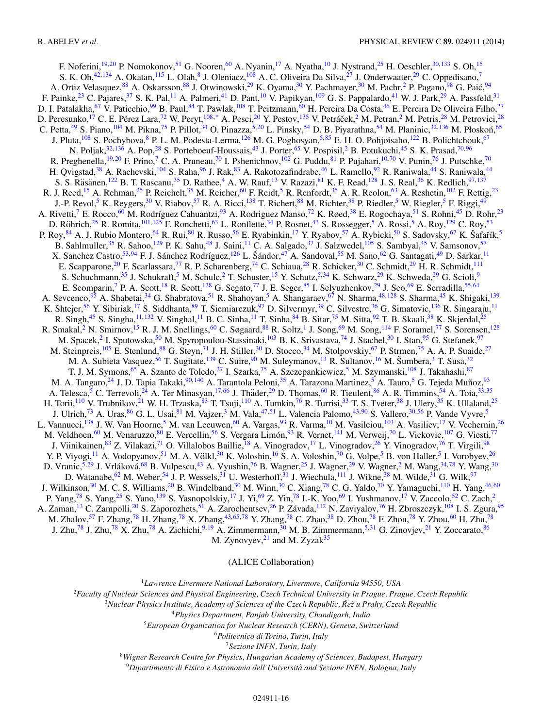<span id="page-15-0"></span>F. Noferini,<sup>[19,20](#page-16-0)</sup> P. Nomokonov,<sup>[51](#page-16-0)</sup> G. Nooren,<sup>60</sup> A. Nyanin,<sup>[17](#page-16-0)</sup> A. Nyatha,<sup>[10](#page-16-0)</sup> J. Nystrand,<sup>25</sup> H. Oeschler,<sup>30,[133](#page-18-0)</sup> S. Oh,<sup>[15](#page-16-0)</sup> S. K. Oh,<sup>[42](#page-16-0)[,134](#page-18-0)</sup> A. Okatan,<sup>[115](#page-17-0)</sup> L. Olah,<sup>8</sup> J. Oleniacz,<sup>108</sup> A. C. Oliveira Da Silva,<sup>[27](#page-16-0)</sup> J. Onderwaater,<sup>29</sup> C. Oppedisano,<sup>7</sup> A. Ortiz Velasquez,<sup>[88](#page-17-0)</sup> A. Oskarsson,<sup>88</sup> J. Otwinowski,<sup>[29](#page-16-0)</sup> K. Oyama,<sup>[30](#page-16-0)</sup> Y. Pachmayer,<sup>30</sup> M. Pachr,<sup>2</sup> P. Pagano,<sup>98</sup> G. Paić,<sup>[94](#page-17-0)</sup> F. Painke,<sup>[23](#page-16-0)</sup> C. Pajares,<sup>37</sup> S. K. Pal,<sup>[11](#page-16-0)</sup> A. Palmeri,<sup>[41](#page-16-0)</sup> D. Pant,<sup>[10](#page-16-0)</sup> V. Papikyan,<sup>[109](#page-17-0)</sup> G. S. Pappalardo,<sup>41</sup> W. J. Park,<sup>29</sup> A. Passfeld,<sup>[31](#page-16-0)</sup> D. I. Patalakha,<sup>67</sup> V. Paticchio,<sup>[99](#page-17-0)</sup> B. Paul,<sup>[84](#page-17-0)</sup> T. Pawlak,<sup>[108](#page-17-0)</sup> T. Peitzmann,<sup>[60](#page-16-0)</sup> H. Pereira Da Costa,<sup>[46](#page-16-0)</sup> E. Pereira De Oliveira Filho,<sup>[27](#page-16-0)</sup> D. Peresunko,<sup>17</sup> C. E. Pérez Lara,<sup>[72](#page-17-0)</sup> W. Peryt,<sup>[108](#page-17-0)[,\\*](#page-0-0)</sup> A. Pesci,<sup>20</sup> Y. Pestov,<sup>[135](#page-18-0)</sup> V. Petráček,<sup>2</sup> M. Petran,<sup>2</sup> M. Petris,<sup>28</sup> M. Petrovici,<sup>28</sup> C. Petta,<sup>[49](#page-16-0)</sup> S. Piano,<sup>[104](#page-17-0)</sup> M. Pikna,<sup>[75](#page-17-0)</sup> P. Pillot,<sup>[34](#page-16-0)</sup> O. Pinazza,<sup>5[,20](#page-16-0)</sup> L. Pinsky,<sup>[54](#page-16-0)</sup> D. B. Piyarathna,<sup>54</sup> M. Planinic,<sup>[32,](#page-16-0)[136](#page-18-0)</sup> M. Płoskoń,<sup>[65](#page-16-0)</sup> J. Pluta, <sup>[108](#page-17-0)</sup> S. Pochybova, <sup>8</sup> P. L. M. Podesta-Lerma, <sup>[126](#page-18-0)</sup> M. G. Poghosyan, <sup>5[,85](#page-17-0)</sup> E. H. O. Pohjoisaho, <sup>122</sup> B. Polichtchouk, <sup>[67](#page-17-0)</sup> N. Poljak,<sup>[32,](#page-16-0)[136](#page-18-0)</sup> A. Pop,<sup>28</sup> S. Porteboeuf-Houssais,<sup>43</sup> J. Porter,<sup>65</sup> V. Pospisil,<sup>2</sup> B. Potukuchi,<sup>[45](#page-16-0)</sup> S. K. Prasad,<sup>[70,96](#page-17-0)</sup> R. Preghenella,<sup>19,20</sup> F. Prino,<sup>7</sup> C. A. Pruneau,<sup>[70](#page-17-0)</sup> I. Pshenichnov,<sup>102</sup> G. Puddu,<sup>[81](#page-17-0)</sup> P. Pujahari,<sup>10,70</sup> V. Punin,<sup>[76](#page-17-0)</sup> J. Putschke,<sup>70</sup> H. Qvigstad,<sup>[38](#page-16-0)</sup> A. Rachevski,<sup>104</sup> S. Raha,<sup>[96](#page-17-0)</sup> J. Rak,<sup>83</sup> A. Rakotozafindrabe,<sup>[46](#page-16-0)</sup> L. Ramello,<sup>[92](#page-17-0)</sup> R. Raniwala,<sup>[44](#page-16-0)</sup> S. Raniwala,<sup>44</sup> S. S. Räsänen, <sup>[122](#page-17-0)</sup> B. T. Rascanu,<sup>[35](#page-16-0)</sup> D. Rathee,<sup>4</sup> A. W. Rauf,<sup>[13](#page-16-0)</sup> V. Razazi,<sup>[81](#page-17-0)</sup> K. F. Read,<sup>128</sup> J. S. Real,<sup>36</sup> K. Redlich,<sup>[97,](#page-17-0)[137](#page-18-0)</sup> R. J. Reed,<sup>15</sup> A. Rehman,<sup>25</sup> P. Reichelt,<sup>35</sup> M. Reicher,<sup>[60](#page-16-0)</sup> F. Reidt,<sup>5</sup> R. Renfordt,<sup>[35](#page-16-0)</sup> A. R. Reolon,<sup>[63](#page-16-0)</sup> A. Reshetin,<sup>[102](#page-17-0)</sup> F. Rettig,<sup>[23](#page-16-0)</sup> J.-P. Revol,<sup>5</sup> K. Reygers,<sup>30</sup> V. Riabov,<sup>[57](#page-16-0)</sup> R. A. Ricci,<sup>[138](#page-18-0)</sup> T. Richert,<sup>[88](#page-17-0)</sup> M. Richter,<sup>[38](#page-16-0)</sup> P. Riedler,<sup>5</sup> W. Riegler,<sup>5</sup> F. Riggi,<sup>49</sup> A. Rivetti,<sup>7</sup> E. Rocco,<sup>[60](#page-16-0)</sup> M. Rodríguez Cahuantzi,<sup>[93](#page-17-0)</sup> A. Rodriguez Manso,<sup>72</sup> K. Røed,<sup>38</sup> E. Rogochaya,<sup>[51](#page-16-0)</sup> S. Rohni,<sup>[45](#page-16-0)</sup> D. Rohr,<sup>[23](#page-16-0)</sup> D. Röhrich,<sup>[25](#page-16-0)</sup> R. Romita, <sup>[101,](#page-17-0) [125](#page-18-0)</sup> F. Ronchetti, <sup>[63](#page-16-0)</sup> L. Ronflette, <sup>[34](#page-16-0)</sup> P. Rosnet, <sup>[43](#page-16-0)</sup> S. Rossegger, <sup>5</sup> A. Rossi, <sup>5</sup> A. Roy, <sup>[129](#page-18-0)</sup> C. Roy, <sup>[53](#page-16-0)</sup> P. Roy, [84](#page-17-0) A. J. Rubio Montero, 64 R. Rui, [80](#page-17-0) R. Russo, <sup>[56](#page-16-0)</sup> E. Ryabinkin, <sup>[17](#page-16-0)</sup> Y. Ryabov, <sup>[57](#page-16-0)</sup> A. Rybicki, <sup>[50](#page-16-0)</sup> S. Sadovsky, <sup>[67](#page-17-0)</sup> K. Šafařík, <sup>5</sup> B. Sahlmuller,<sup>35</sup> R. Sahoo,<sup>[129](#page-18-0)</sup> P. K. Sahu,<sup>48</sup> J. Saini,<sup>11</sup> C. A. Salgado,<sup>[37](#page-16-0)</sup> J. Salzwedel,<sup>105</sup> S. Sambyal,<sup>[45](#page-16-0)</sup> V. Samsonov,<sup>[57](#page-16-0)</sup> X. Sanchez Castro, 53,[94](#page-17-0) F. J. Sánchez Rodríguez, <sup>[126](#page-18-0)</sup> L. Šándor, <sup>[47](#page-16-0)</sup> A. Sandoval, <sup>55</sup> M. Sano, <sup>62</sup> G. Santagati, <sup>[49](#page-16-0)</sup> D. Sarkar, <sup>[11](#page-16-0)</sup> E. Scapparone,<sup>20</sup> F. Scarlassara,<sup>[77](#page-17-0)</sup> R. P. Scharenberg,<sup>74</sup> C. Schiaua,<sup>28</sup> R. Schicker,<sup>[30](#page-16-0)</sup> C. Schmidt,<sup>[29](#page-16-0)</sup> H. R. Schmidt,<sup>[111](#page-17-0)</sup> S. Schuchmann,<sup>[35](#page-16-0)</sup> J. Schukraft,<sup>5</sup> M. Schulc,<sup>2</sup> T. Schuster,<sup>15</sup> Y. Schutz,<sup>5[,34](#page-16-0)</sup> K. Schwarz,<sup>[29](#page-16-0)</sup> K. Schweda,<sup>29</sup> G. Scioli,<sup>9</sup> E. Scomparin,<sup>7</sup> P. A. Scott,<sup>18</sup> R. Scott,<sup>[128](#page-18-0)</sup> G. Segato,<sup>[77](#page-17-0)</sup> J. E. Seger,<sup>85</sup> I. Selyuzhenkov,<sup>29</sup> J. Seo,<sup>69</sup> E. Serradilla,<sup>[55,64](#page-16-0)</sup> A. Sevcenco,<sup>[95](#page-17-0)</sup> A. Shabetai,<sup>34</sup> G. Shabratova,<sup>51</sup> R. Shahoyan,<sup>5</sup> A. Shangaraev,<sup>67</sup> N. Sharma,<sup>48,[128](#page-18-0)</sup> S. Sharma,<sup>[45](#page-16-0)</sup> K. Shigaki,<sup>[139](#page-18-0)</sup> K. Shtejer,<sup>56</sup> Y. Sibiriak,<sup>[17](#page-16-0)</sup> S. Siddhanta,<sup>[89](#page-17-0)</sup> T. Siemiarczuk,<sup>97</sup> D. Silvermyr,<sup>39</sup> C. Silvestre,<sup>[36](#page-16-0)</sup> G. Simatovic,<sup>[136](#page-18-0)</sup> R. Singaraju,<sup>[11](#page-16-0)</sup> R. Singh,<sup>[45](#page-16-0)</sup> S. Singha,<sup>11,[132](#page-18-0)</sup> V. Singhal,<sup>[11](#page-16-0)</sup> B. C. Sinha,<sup>11</sup> T. Sinha,<sup>[84](#page-17-0)</sup> B. Sitar,<sup>[75](#page-17-0)</sup> M. Sitta,<sup>[92](#page-17-0)</sup> T. B. Skaali,<sup>[38](#page-16-0)</sup> K. Skjerdal,<sup>[25](#page-16-0)</sup> R. Smakal,<sup>2</sup> N. Smirnov,<sup>[15](#page-16-0)</sup> R. J. M. Snellings,<sup>[60](#page-16-0)</sup> C. Søgaard,<sup>[88](#page-17-0)</sup> R. Soltz,<sup>1</sup> J. Song,<sup>69</sup> M. Song,<sup>114</sup> F. Soramel,<sup>[77](#page-17-0)</sup> S. Sorensen,<sup>[128](#page-18-0)</sup> M. Spacek,<sup>2</sup> I. Sputowska,<sup>50</sup> M. Spyropoulou-Stassinaki,<sup>[103](#page-17-0)</sup> B. K. Srivastava,<sup>[74](#page-17-0)</sup> J. Stachel,<sup>30</sup> I. Stan,<sup>95</sup> G. Stefanek,<sup>[97](#page-17-0)</sup> M. Steinpreis, <sup>105</sup> E. Stenlund, <sup>[88](#page-17-0)</sup> G. Steyn, <sup>[71](#page-17-0)</sup> J. H. Stiller, <sup>30</sup> D. Stocco, <sup>[34](#page-16-0)</sup> M. Stolpovskiy, <sup>[67](#page-17-0)</sup> P. Strmen, <sup>[75](#page-17-0)</sup> A. A. P. Suaide, <sup>[27](#page-16-0)</sup> M. A. Subieta Vasquez,<sup>56</sup> T. Sugitate,<sup>[139](#page-18-0)</sup> C. Suire,<sup>[90](#page-17-0)</sup> M. Suleymanov,<sup>[13](#page-16-0)</sup> R. Sultanov,<sup>[16](#page-16-0)</sup> M. Šumbera,<sup>3</sup> T. Susa,<sup>[32](#page-16-0)</sup> T. J. M. Symons, <sup>65</sup> A. Szanto de Toledo, <sup>[27](#page-16-0)</sup> I. Szarka, <sup>75</sup> A. Szczepankiewicz, <sup>5</sup> M. Szymanski, <sup>108</sup> J. Takahashi, <sup>87</sup> M. A. Tangaro,<sup>24</sup> J. D. Tapia Takaki,<sup>90,[140](#page-18-0)</sup> A. Tarantola Peloni,<sup>35</sup> A. Tarazona Martinez,<sup>5</sup> A. Tauro,<sup>5</sup> G. Tejeda Muñoz,<sup>[93](#page-17-0)</sup> A. Telesca,<sup>5</sup> C. Terrevoli,<sup>[24](#page-16-0)</sup> A. Ter Minasyan,<sup>[17,](#page-16-0)[66](#page-17-0)</sup> J. Thäder,<sup>[29](#page-16-0)</sup> D. Thomas,<sup>60</sup> R. Tieulent,<sup>[86](#page-17-0)</sup> A. R. Timmins,<sup>[54](#page-16-0)</sup> A. Toia,<sup>[33,35](#page-16-0)</sup> H. Torii,<sup>[110](#page-17-0)</sup> V. Trubnikov,<sup>[21](#page-16-0)</sup> W. H. Trzaska,<sup>[83](#page-17-0)</sup> T. Tsuji,<sup>110</sup> A. Tumkin,<sup>[76](#page-17-0)</sup> R. Turrisi,<sup>[33](#page-16-0)</sup> T. S. Tveter,<sup>[38](#page-16-0)</sup> J. Ulery,<sup>[35](#page-16-0)</sup> K. Ullaland,<sup>[25](#page-16-0)</sup> J. Ulrich,<sup>[73](#page-17-0)</sup> A. Uras,<sup>[86](#page-17-0)</sup> G. L. Usai,<sup>[81](#page-17-0)</sup> M. Vajzer,<sup>3</sup> M. Vala,<sup>[47,51](#page-16-0)</sup> L. Valencia Palomo,<sup>43,[90](#page-17-0)</sup> S. Vallero,<sup>[30,56](#page-16-0)</sup> P. Vande Vyvre,<sup>5</sup> L. Vannucci,<sup>138</sup> J. W. Van Hoorne,<sup>5</sup> M. van Leeuwen,<sup>60</sup> A. Vargas,<sup>[93](#page-17-0)</sup> R. Varma,<sup>[10](#page-16-0)</sup> M. Vasileiou,<sup>[103](#page-17-0)</sup> A. Vasiliev,<sup>[17](#page-16-0)</sup> V. Vechernin,<sup>26</sup> M. Veldhoen,<sup>[60](#page-16-0)</sup> M. Venaruzzo,<sup>[80](#page-17-0)</sup> E. Vercellin,<sup>[56](#page-16-0)</sup> S. Vergara Limón,<sup>[93](#page-17-0)</sup> R. Vernet,<sup>[141](#page-18-0)</sup> M. Verweij,<sup>[70](#page-17-0)</sup> L. Vickovic,<sup>[107](#page-17-0)</sup> G. Viesti,<sup>[77](#page-17-0)</sup> J. Viinikainen,<sup>83</sup> Z. Vilakazi,<sup>[71](#page-17-0)</sup> O. Villalobos Baillie,<sup>[18](#page-16-0)</sup> A. Vinogradov,<sup>[17](#page-16-0)</sup> L. Vinogradov,<sup>[26](#page-16-0)</sup> Y. Vinogradov,<sup>[76](#page-17-0)</sup> T. Virgili,<sup>[98](#page-17-0)</sup> Y. P. Viyogi,<sup>[11](#page-16-0)</sup> A. Vodopyanov,<sup>[51](#page-16-0)</sup> M. A. Völkl,<sup>[30](#page-16-0)</sup> K. Voloshin,<sup>[16](#page-16-0)</sup> S. A. Voloshin,<sup>[70](#page-17-0)</sup> G. Volpe,<sup>5</sup> B. von Haller,<sup>5</sup> I. Vorobyev,<sup>26</sup> D. Vranic,<sup>5[,29](#page-16-0)</sup> J. Vrláková,<sup>[68](#page-17-0)</sup> B. Vulpescu,<sup>[43](#page-16-0)</sup> A. Vyushin,<sup>[76](#page-17-0)</sup> B. Wagner,<sup>[25](#page-16-0)</sup> J. Wagner,<sup>29</sup> V. Wagner,<sup>2</sup> M. Wang,<sup>[34,](#page-16-0)[78](#page-17-0)</sup> Y. Wang,<sup>[30](#page-16-0)</sup> D. Watanabe,<sup>[62](#page-16-0)</sup> M. Weber,<sup>[54](#page-16-0)</sup> J. P. Wessels,<sup>31</sup> U. Westerhoff,<sup>31</sup> J. Wiechula,<sup>[111](#page-17-0)</sup> J. Wikne,<sup>38</sup> M. Wilde,<sup>[31](#page-16-0)</sup> G. Wilk,<sup>[97](#page-17-0)</sup> J. Wilkinson,<sup>30</sup> M. C. S. Williams,<sup>[20](#page-16-0)</sup> B. Windelband,<sup>[30](#page-16-0)</sup> M. Winn,<sup>30</sup> C. Xiang,<sup>[78](#page-17-0)</sup> C. G. Yaldo,<sup>[70](#page-17-0)</sup> Y. Yamaguchi,<sup>[110](#page-17-0)</sup> H. Yang,<sup>46,60</sup> P. Yang,<sup>[78](#page-17-0)</sup> S. Yang,<sup>[25](#page-16-0)</sup> S. Yano,<sup>[139](#page-18-0)</sup> S. Yasnopolskiy,<sup>[17](#page-16-0)</sup> J. Yi,<sup>[69](#page-17-0)</sup> Z. Yin,<sup>78</sup> I.-K. Yoo,<sup>69</sup> I. Yushmanov,<sup>17</sup> V. Zaccolo,<sup>[52](#page-16-0)</sup> C. Zach,<sup>2</sup> A. Zaman,<sup>[13](#page-16-0)</sup> C. Zampolli,<sup>20</sup> S. Zaporozhets,<sup>51</sup> A. Zarochentsev,<sup>[26](#page-16-0)</sup> P. Závada,<sup>[112](#page-17-0)</sup> N. Zaviyalov,<sup>[76](#page-17-0)</sup> H. Zbroszczyk,<sup>108</sup> I. S. Zgura,<sup>[95](#page-17-0)</sup> M. Zhalov, $^{57}$  $^{57}$  $^{57}$  F. Zhang, $^{78}$  $^{78}$  $^{78}$  H. Zhang, $^{78}$  X. Zhang, $^{43,65,78}$  $^{43,65,78}$  $^{43,65,78}$  Y. Zhang, $^{78}$  C. Zhao, $^{38}$  $^{38}$  $^{38}$  D. Zhou, $^{78}$  F. Zhou, $^{78}$  Y. Zhou, $^{60}$  $^{60}$  $^{60}$  H. Zhu, $^{78}$ J. Zhu,<sup>[78](#page-17-0)</sup> J. Zhu,<sup>78</sup> X. Zhu,<sup>78</sup> A. Zichichi,<sup>9[,19](#page-16-0)</sup> A. Zimmermann,<sup>[30](#page-16-0)</sup> M. B. Zimmermann,<sup>5[,31](#page-16-0)</sup> G. Zinovjev,<sup>[21](#page-16-0)</sup> Y. Zoccarato,<sup>[86](#page-17-0)</sup> M. Zynovyev, $21$  and M. Zyzak $35$ 

(ALICE Collaboration)

<sup>1</sup>*Lawrence Livermore National Laboratory, Livermore, California 94550, USA*

<sup>2</sup>*Faculty of Nuclear Sciences and Physical Engineering, Czech Technical University in Prague, Prague, Czech Republic*

<sup>3</sup>*Nuclear Physics Institute, Academy of Sciences of the Czech Republic, Reˇ z u Prahy, Czech Republic ˇ*

<sup>5</sup>*European Organization for Nuclear Research (CERN), Geneva, Switzerland*

<sup>6</sup>*Politecnico di Torino, Turin, Italy*

<sup>7</sup>*Sezione INFN, Turin, Italy*

<sup>8</sup>*Wigner Research Centre for Physics, Hungarian Academy of Sciences, Budapest, Hungary*

<sup>9</sup>*Dipartimento di Fisica e Astronomia dell'Universita and Sezione INFN, Bologna, Italy `*

<sup>4</sup>*Physics Department, Panjab University, Chandigarh, India*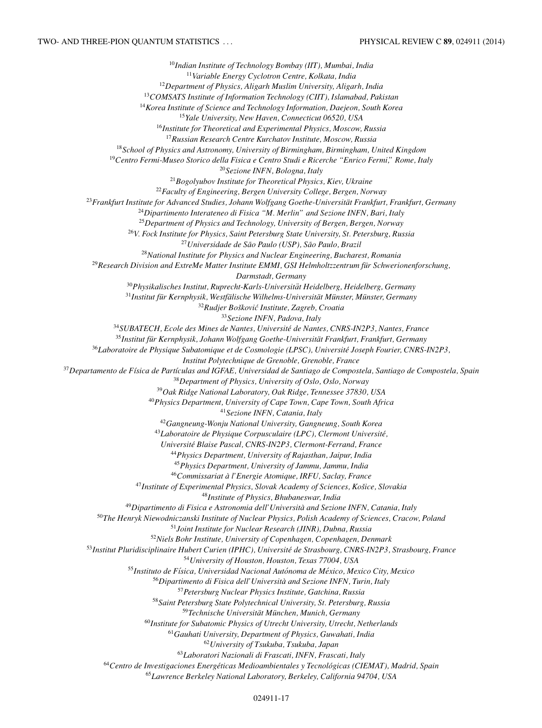<span id="page-16-0"></span>*Indian Institute of Technology Bombay (IIT), Mumbai, India Variable Energy Cyclotron Centre, Kolkata, India Department of Physics, Aligarh Muslim University, Aligarh, India COMSATS Institute of Information Technology (CIIT), Islamabad, Pakistan Korea Institute of Science and Technology Information, Daejeon, South Korea Yale University, New Haven, Connecticut 06520, USA Institute for Theoretical and Experimental Physics, Moscow, Russia Russian Research Centre Kurchatov Institute, Moscow, Russia School of Physics and Astronomy, University of Birmingham, Birmingham, United Kingdom Centro Fermi-Museo Storico della Fisica e Centro Studi e Ricerche "Enrico Fermi," Rome, Italy Sezione INFN, Bologna, Italy Bogolyubov Institute for Theoretical Physics, Kiev, Ukraine Faculty of Engineering, Bergen University College, Bergen, Norway Frankfurt Institute for Advanced Studies, Johann Wolfgang Goethe-Universitat Frankfurt, Frankfurt, Germany ¨ Dipartimento Interateneo di Fisica "M. Merlin" and Sezione INFN, Bari, Italy Department of Physics and Technology, University of Bergen, Bergen, Norway V. Fock Institute for Physics, Saint Petersburg State University, St. Petersburg, Russia Universidade de Sao Paulo (USP), S ˜ ao Paulo, Brazil ˜ National Institute for Physics and Nuclear Engineering, Bucharest, Romania Research Division and ExtreMe Matter Institute EMMI, GSI Helmholtzzentrum fur Schwerionenforschung, ¨ Darmstadt, Germany Physikalisches Institut, Ruprecht-Karls-Universitat Heidelberg, Heidelberg, Germany ¨* <sup>31</sup> Institut für Kernphysik, Westfälische Wilhelms-Universität Münster, Münster, Germany <sup>32</sup>Rudjer Bošković Institute, Zagreb, Croatia *Sezione INFN, Padova, Italy SUBATECH, Ecole des Mines de Nantes, Universite de Nantes, CNRS-IN2P3, Nantes, France ´* <sup>35</sup> Institut für Kernphysik, Johann Wolfgang Goethe-Universität Frankfurt, Frankfurt, Germany *Laboratoire de Physique Subatomique et de Cosmologie (LPSC), Universite Joseph Fourier, CNRS-IN2P3, ´ Institut Polytechnique de Grenoble, Grenoble, France* <sup>37</sup>Departamento de Física de Partículas and IGFAE, Universidad de Santiago de Compostela, Santiago de Compostela, Spain *Department of Physics, University of Oslo, Oslo, Norway Oak Ridge National Laboratory, Oak Ridge, Tennessee 37830, USA Physics Department, University of Cape Town, Cape Town, South Africa Sezione INFN, Catania, Italy Gangneung-Wonju National University, Gangneung, South Korea Laboratoire de Physique Corpusculaire (LPC), Clermont Universite,´ Universite Blaise Pascal, CNRS-IN2P3, Clermont-Ferrand, France ´ Physics Department, University of Rajasthan, Jaipur, India Physics Department, University of Jammu, Jammu, India Commissariat a l'Energie Atomique, IRFU, Saclay, France ` Institute of Experimental Physics, Slovak Academy of Sciences, Kosice, Slovakia ˇ Institute of Physics, Bhubaneswar, India Dipartimento di Fisica e Astronomia dell'Universita and Sezione INFN, Catania, Italy ` The Henryk Niewodniczanski Institute of Nuclear Physics, Polish Academy of Sciences, Cracow, Poland Joint Institute for Nuclear Research (JINR), Dubna, Russia Niels Bohr Institute, University of Copenhagen, Copenhagen, Denmark Institut Pluridisciplinaire Hubert Curien (IPHC), Universite de Strasbourg, CNRS-IN2P3, Strasbourg, France ´ University of Houston, Houston, Texas 77004, USA Instituto de F´ısica, Universidad Nacional Autonoma de M ´ exico, Mexico City, Mexico ´ Dipartimento di Fisica dell'Universita and Sezione INFN, Turin, Italy ` Petersburg Nuclear Physics Institute, Gatchina, Russia Saint Petersburg State Polytechnical University, St. Petersburg, Russia Technische Universitat M¨ unchen, Munich, Germany ¨ Institute for Subatomic Physics of Utrecht University, Utrecht, Netherlands Gauhati University, Department of Physics, Guwahati, India University of Tsukuba, Tsukuba, Japan Laboratori Nazionali di Frascati, INFN, Frascati, Italy Centro de Investigaciones Energeticas Medioambientales y Tecnol ´ ogicas (CIEMAT), Madrid, Spain ´*

*Lawrence Berkeley National Laboratory, Berkeley, California 94704, USA*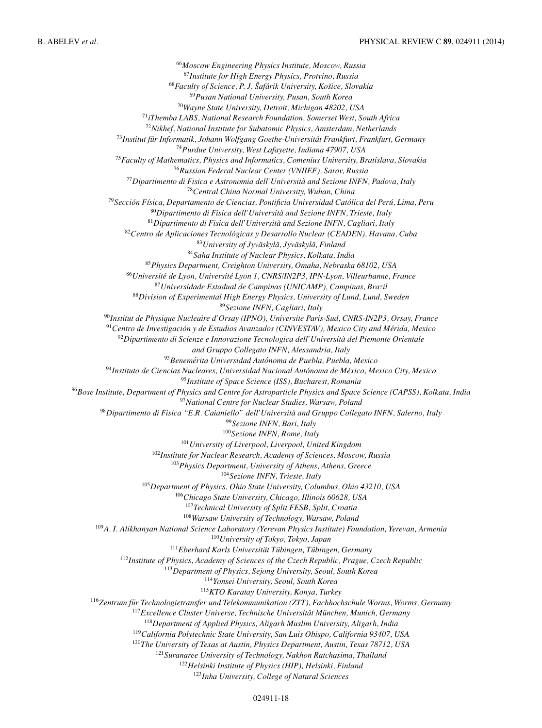<span id="page-17-0"></span>*Moscow Engineering Physics Institute, Moscow, Russia Institute for High Energy Physics, Protvino, Russia Faculty of Science, P. J. Saf ˇ arik University, Ko ´ sice, Slovakia ˇ Pusan National University, Pusan, South Korea Wayne State University, Detroit, Michigan 48202, USA iThemba LABS, National Research Foundation, Somerset West, South Africa Nikhef, National Institute for Subatomic Physics, Amsterdam, Netherlands* <sup>73</sup>Institut für Informatik, Johann Wolfgang Goethe-Universität Frankfurt, Frankfurt, Germany *Purdue University, West Lafayette, Indiana 47907, USA Faculty of Mathematics, Physics and Informatics, Comenius University, Bratislava, Slovakia Russian Federal Nuclear Center (VNIIEF), Sarov, Russia Dipartimento di Fisica e Astronomia dell'Universita and Sezione INFN, Padova, Italy ` Central China Normal University, Wuhan, China Seccion F ´ ´ısica, Departamento de Ciencias, Pontificia Universidad Catolica del Per ´ u, Lima, Peru ´ Dipartimento di Fisica dell'Universita and Sezione INFN, Trieste, Italy ` Dipartimento di Fisica dell'Universita and Sezione INFN, Cagliari, Italy ` Centro de Aplicaciones Tecnologicas y Desarrollo Nuclear (CEADEN), Havana, Cuba ´ University of Jyvaskyl ¨ a, Jyv ¨ askyl ¨ a, Finland ¨ Saha Institute of Nuclear Physics, Kolkata, India Physics Department, Creighton University, Omaha, Nebraska 68102, USA Universite de Lyon, Universit ´ e Lyon 1, CNRS/IN2P3, IPN-Lyon, Villeurbanne, France ´ Universidade Estadual de Campinas (UNICAMP), Campinas, Brazil Division of Experimental High Energy Physics, University of Lund, Lund, Sweden Sezione INFN, Cagliari, Italy Institut de Physique Nucleaire d'Orsay (IPNO), Universite Paris-Sud, CNRS-IN2P3, Orsay, France* <sup>91</sup> Centro de Investigación y de Estudios Avanzados (CINVESTAV), Mexico City and Mérida, Mexico *Dipartimento di Scienze e Innovazione Tecnologica dell'Universita del Piemonte Orientale ` and Gruppo Collegato INFN, Alessandria, Italy Benemerita Universidad Aut ´ onoma de Puebla, Puebla, Mexico ´ Instituto de Ciencias Nucleares, Universidad Nacional Autonoma de M ´ exico, Mexico City, Mexico ´ Institute of Space Science (ISS), Bucharest, Romania Bose Institute, Department of Physics and Centre for Astroparticle Physics and Space Science (CAPSS), Kolkata, India National Centre for Nuclear Studies, Warsaw, Poland Dipartimento di Fisica "E.R. Caianiello" dell'Universita and Gruppo Collegato INFN, Salerno, Italy ` Sezione INFN, Bari, Italy Sezione INFN, Rome, Italy University of Liverpool, Liverpool, United Kingdom Institute for Nuclear Research, Academy of Sciences, Moscow, Russia Physics Department, University of Athens, Athens, Greece Sezione INFN, Trieste, Italy Department of Physics, Ohio State University, Columbus, Ohio 43210, USA Chicago State University, Chicago, Illinois 60628, USA Technical University of Split FESB, Split, Croatia Warsaw University of Technology, Warsaw, Poland A. I. Alikhanyan National Science Laboratory (Yerevan Physics Institute) Foundation, Yerevan, Armenia University of Tokyo, Tokyo, Japan*  $^{111}Eberhard$  Karls Universität Tübingen, Tübingen, Germany *Institute of Physics, Academy of Sciences of the Czech Republic, Prague, Czech Republic Department of Physics, Sejong University, Seoul, South Korea Yonsei University, Seoul, South Korea KTO Karatay University, Konya, Turkey Zentrum fur Technologietransfer und Telekommunikation (ZTT), Fachhochschule Worms, Worms, Germany ¨* <sup>117</sup> Excellence Cluster Universe, Technische Universität München, Munich, Germany *Department of Applied Physics, Aligarh Muslim University, Aligarh, India California Polytechnic State University, San Luis Obispo, California 93407, USA The University of Texas at Austin, Physics Department, Austin, Texas 78712, USA Suranaree University of Technology, Nakhon Ratchasima, Thailand Helsinki Institute of Physics (HIP), Helsinki, Finland Inha University, College of Natural Sciences*